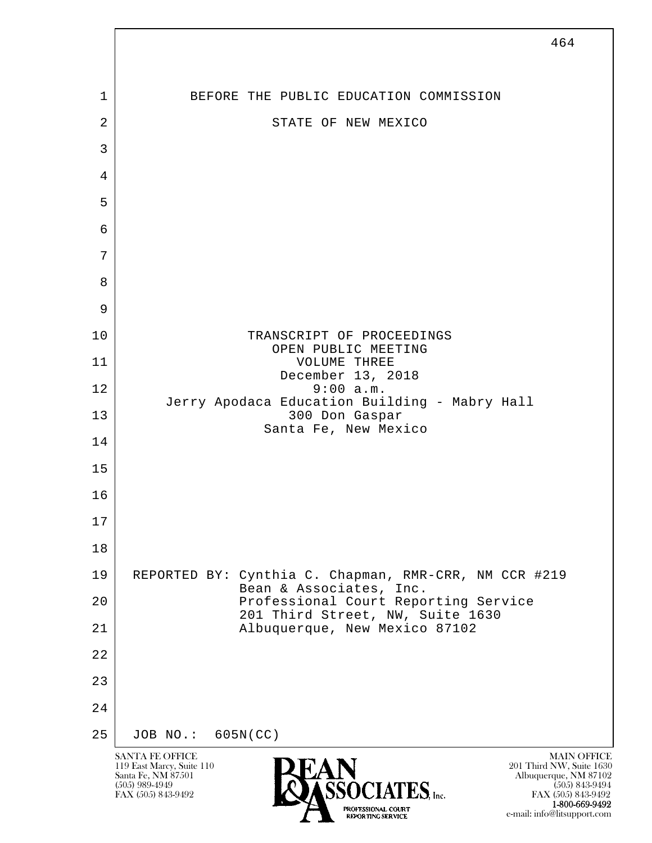

 1-800-669-9492 e-mail: info@litsupport.com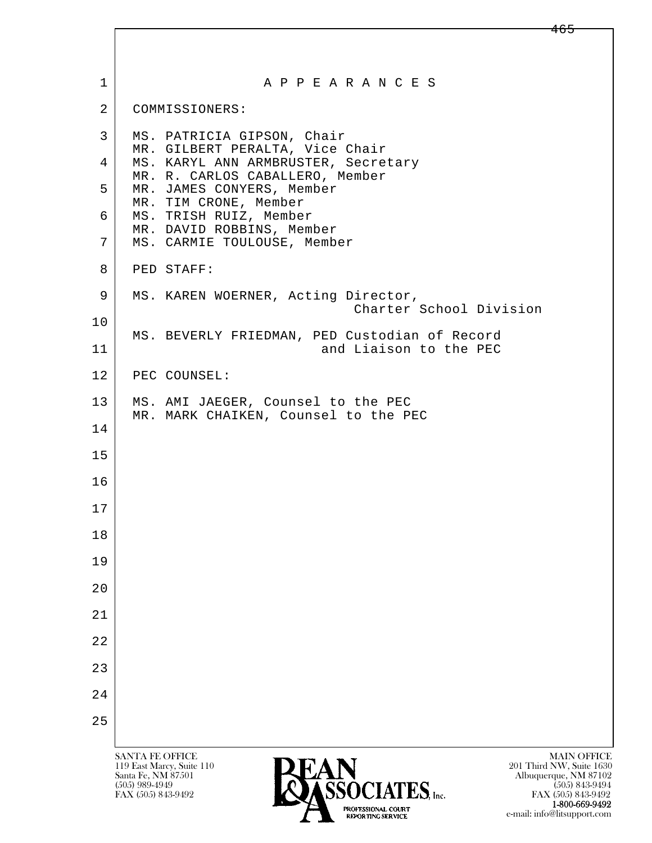| $\mathbf 1$    | A P P E A R A N C E S                                                                                                                                    |
|----------------|----------------------------------------------------------------------------------------------------------------------------------------------------------|
| $\overline{2}$ | COMMISSIONERS:                                                                                                                                           |
| 3              | MS. PATRICIA GIPSON, Chair<br>MR. GILBERT PERALTA, Vice Chair                                                                                            |
| 4              | MS. KARYL ANN ARMBRUSTER, Secretary<br>MR. R. CARLOS CABALLERO, Member                                                                                   |
| 5              | MR. JAMES CONYERS, Member<br>MR. TIM CRONE, Member                                                                                                       |
| 6              | MS. TRISH RUIZ, Member<br>MR. DAVID ROBBINS, Member                                                                                                      |
| 7              | MS. CARMIE TOULOUSE, Member                                                                                                                              |
| 8              | PED STAFF:                                                                                                                                               |
| 9              | MS. KAREN WOERNER, Acting Director,<br>Charter School Division                                                                                           |
| 10             |                                                                                                                                                          |
| 11             | MS. BEVERLY FRIEDMAN, PED Custodian of Record<br>and Liaison to the PEC                                                                                  |
| 12             | PEC COUNSEL:                                                                                                                                             |
| 13             | MS. AMI JAEGER, Counsel to the PEC<br>MR. MARK CHAIKEN, Counsel to the PEC                                                                               |
| 14             |                                                                                                                                                          |
| 15             |                                                                                                                                                          |
| 16             |                                                                                                                                                          |
| 17             |                                                                                                                                                          |
| 18             |                                                                                                                                                          |
| 19             |                                                                                                                                                          |
| 20             |                                                                                                                                                          |
| 21             |                                                                                                                                                          |
| 22             |                                                                                                                                                          |
| 23             |                                                                                                                                                          |
| 24             |                                                                                                                                                          |
| 25             |                                                                                                                                                          |
|                | <b>MAIN OFFICE</b><br><b>SANTA FE OFFICE</b>                                                                                                             |
|                | 201 Third NW, Suite 1630<br>119 East Marcy, Suite 110<br>Santa Fe, NM 87501<br>Albuquerque, NM 87102<br>CENTATEC<br>$(505)$ 989-4949<br>$(505)$ 843-9494 |

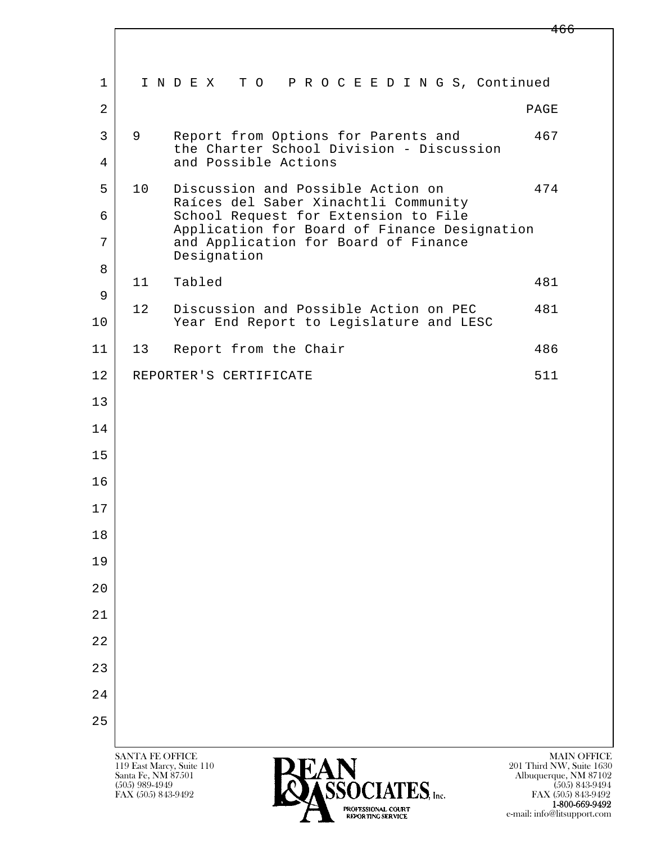l  $\overline{\phantom{a}}$  1 I N D E X T O P R O C E E D I N G S, Continued  $2$  PAGE 3 9 Report from Options for Parents and 467 the Charter School Division - Discussion 4 and Possible Actions 5 10 Discussion and Possible Action on 474 Raíces del Saber Xinachtli Community 6 School Request for Extension to File Application for Board of Finance Designation<br>7 and Application for Board of Finance and Application for Board of Finance Designation 8 11 Tabled 481 9 12 Discussion and Possible Action on PEC 481 10 Year End Report to Leqislature and LESC 11 | 13 Report from the Chair 1986 12 REPORTER'S CERTIFICATE 511 13 14 15 16 17 18 19 20 21 22 23 24

25

119 East Marcy, Suite 110<br>Santa Fe, NM 87501



FAX (505) 843-9492 FAX (505) 843-9492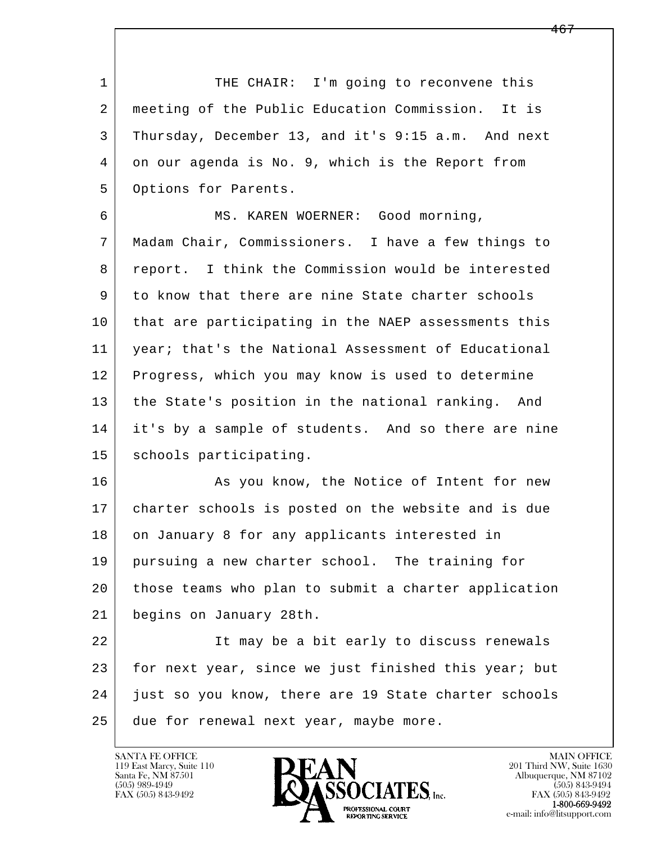1 THE CHAIR: I'm going to reconvene this 2 meeting of the Public Education Commission. It is 3 Thursday, December 13, and it's 9:15 a.m. And next 4 on our agenda is No. 9, which is the Report from 5 | Options for Parents. 6 MS. KAREN WOERNER: Good morning, 7 Madam Chair, Commissioners. I have a few things to 8 report. I think the Commission would be interested 9 to know that there are nine State charter schools

10 that are participating in the NAEP assessments this 11 year; that's the National Assessment of Educational 12 Progress, which you may know is used to determine 13 the State's position in the national ranking. And 14 it's by a sample of students. And so there are nine 15 schools participating.

16 As you know, the Notice of Intent for new 17 charter schools is posted on the website and is due 18 on January 8 for any applicants interested in 19 pursuing a new charter school. The training for 20 those teams who plan to submit a charter application 21 begins on January 28th.

l  $\overline{\phantom{a}}$ 22 It may be a bit early to discuss renewals 23 for next year, since we just finished this year; but 24 just so you know, there are 19 State charter schools 25 due for renewal next year, maybe more.

119 East Marcy, Suite 110<br>Santa Fe, NM 87501

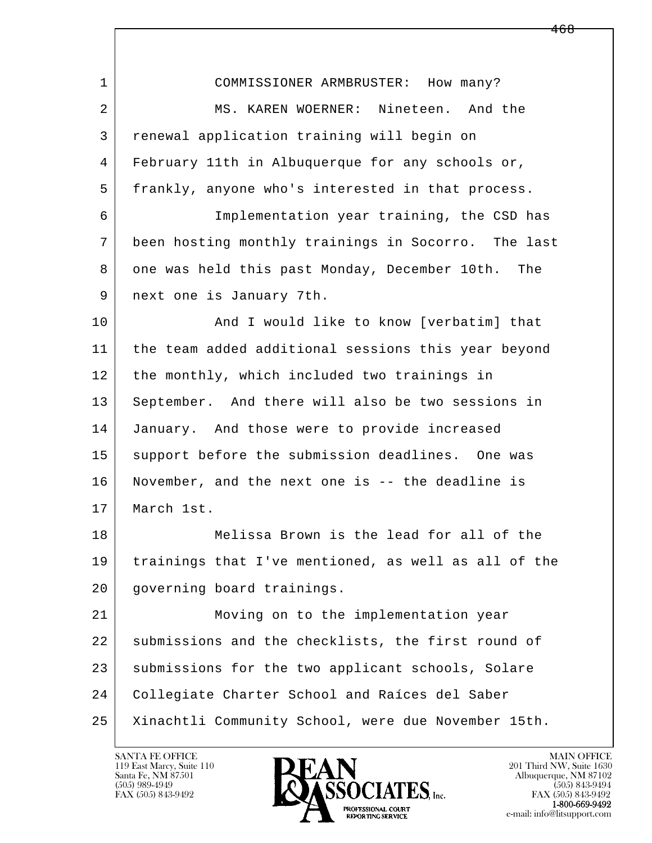| $\mathbf{1}$   | COMMISSIONER ARMBRUSTER: How many?                   |
|----------------|------------------------------------------------------|
| $\overline{a}$ | MS. KAREN WOERNER: Nineteen. And the                 |
| 3              | renewal application training will begin on           |
| 4              | February 11th in Albuquerque for any schools or,     |
| 5              | frankly, anyone who's interested in that process.    |
| 6              | Implementation year training, the CSD has            |
| 7              | been hosting monthly trainings in Socorro. The last  |
| 8              | one was held this past Monday, December 10th. The    |
| 9              | next one is January 7th.                             |
| 10             | And I would like to know [verbatim] that             |
| 11             | the team added additional sessions this year beyond  |
| 12             | the monthly, which included two trainings in         |
| 13             | September. And there will also be two sessions in    |
| 14             | January. And those were to provide increased         |
| 15             | support before the submission deadlines. One was     |
| 16             | November, and the next one is -- the deadline is     |
| 17             | March 1st.                                           |
| 18             | Melissa Brown is the lead for all of the             |
| 19             | trainings that I've mentioned, as well as all of the |
| 20             | governing board trainings.                           |
| 21             | Moving on to the implementation year                 |
| 22             | submissions and the checklists, the first round of   |
| 23             | submissions for the two applicant schools, Solare    |
| 24             | Collegiate Charter School and Raíces del Saber       |
| 25             | Xinachtli Community School, were due November 15th.  |

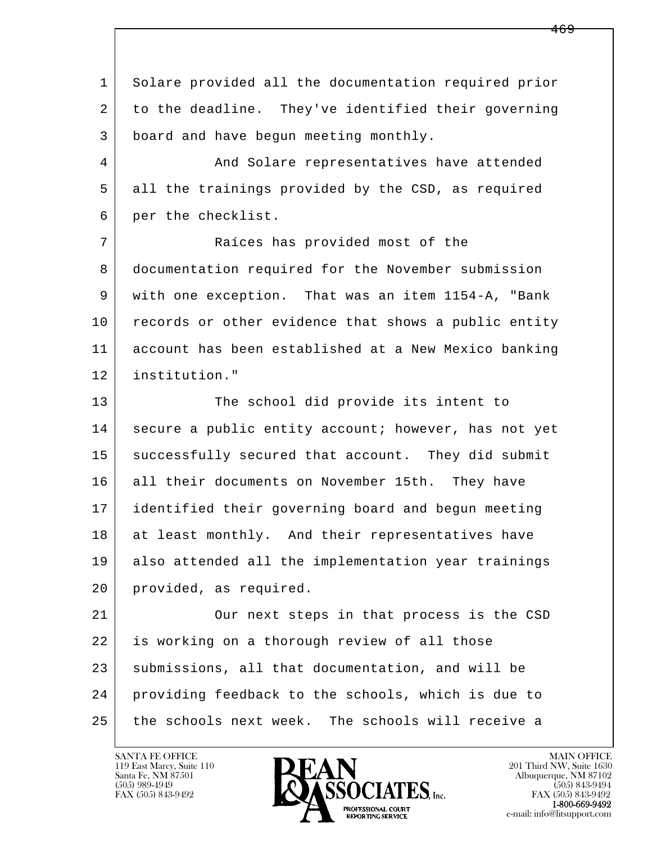l  $\overline{\phantom{a}}$  1 Solare provided all the documentation required prior 2 to the deadline. They've identified their governing 3 board and have begun meeting monthly. 4 And Solare representatives have attended 5 all the trainings provided by the CSD, as required 6 per the checklist. 7 | Raíces has provided most of the 8 documentation required for the November submission 9 with one exception. That was an item 1154-A, "Bank 10 records or other evidence that shows a public entity 11 account has been established at a New Mexico banking 12 institution." 13 The school did provide its intent to 14 secure a public entity account; however, has not yet 15 successfully secured that account. They did submit 16 all their documents on November 15th. They have 17 identified their governing board and begun meeting 18 at least monthly. And their representatives have 19 also attended all the implementation year trainings 20 provided, as required. 21 | Our next steps in that process is the CSD 22 is working on a thorough review of all those 23 submissions, all that documentation, and will be 24 providing feedback to the schools, which is due to 25 the schools next week. The schools will receive a

119 East Marcy, Suite 110<br>Santa Fe, NM 87501

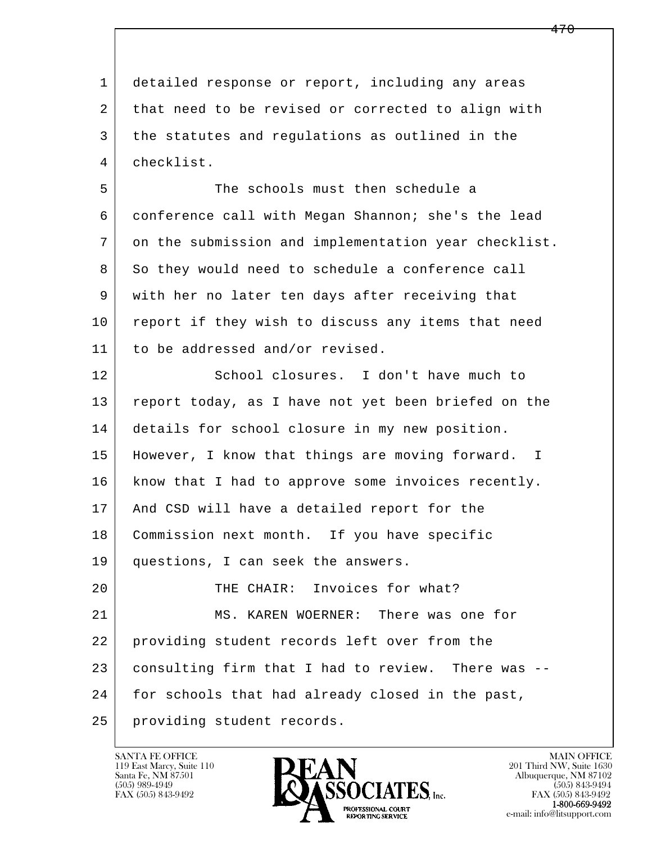l  $\overline{\phantom{a}}$  1 detailed response or report, including any areas 2 that need to be revised or corrected to align with 3 the statutes and regulations as outlined in the 4 checklist. 5 The schools must then schedule a 6 conference call with Megan Shannon; she's the lead 7 on the submission and implementation year checklist. 8 So they would need to schedule a conference call 9 with her no later ten days after receiving that 10 report if they wish to discuss any items that need 11 to be addressed and/or revised. 12 School closures. I don't have much to 13 report today, as I have not yet been briefed on the 14 details for school closure in my new position. 15 | However, I know that things are moving forward. I 16 | know that I had to approve some invoices recently. 17 | And CSD will have a detailed report for the 18 Commission next month. If you have specific 19 questions, I can seek the answers. 20 THE CHAIR: Invoices for what? 21 MS. KAREN WOERNER: There was one for 22 providing student records left over from the 23 consulting firm that I had to review. There was -- 24 for schools that had already closed in the past, 25 providing student records.

119 East Marcy, Suite 110<br>Santa Fe, NM 87501



FAX (505) 843-9492<br>**1-800-669-9492**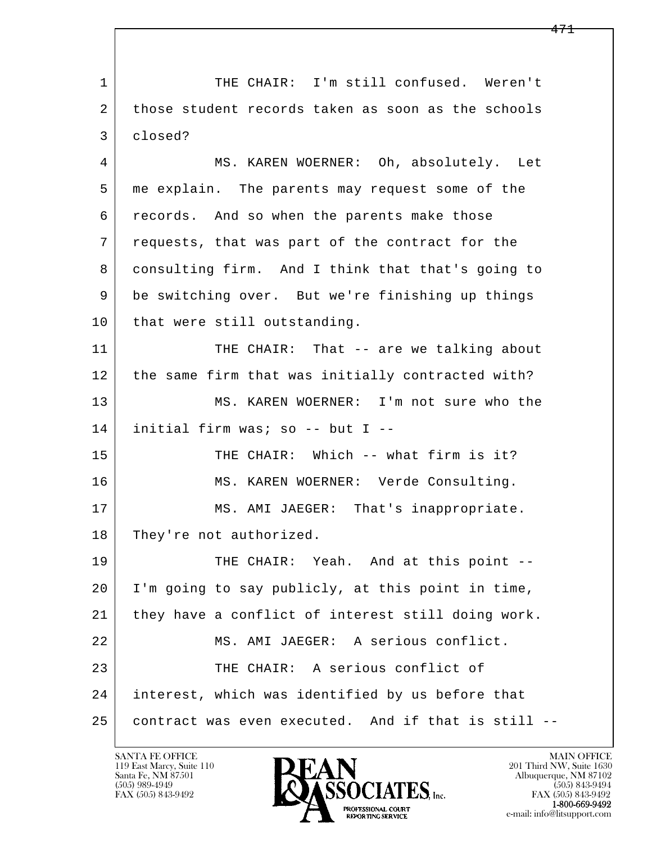l  $\overline{\phantom{a}}$ 1 | THE CHAIR: I'm still confused. Weren't 2 those student records taken as soon as the schools 3 closed? 4 MS. KAREN WOERNER: Oh, absolutely. Let 5 me explain. The parents may request some of the 6 records. And so when the parents make those 7 requests, that was part of the contract for the 8 consulting firm. And I think that that's going to 9 be switching over. But we're finishing up things 10 that were still outstanding. 11 THE CHAIR: That -- are we talking about 12 | the same firm that was initially contracted with? 13 MS. KAREN WOERNER: I'm not sure who the 14 initial firm was; so -- but I -- 15 THE CHAIR: Which -- what firm is it? 16 MS. KAREN WOERNER: Verde Consulting. 17 | MS. AMI JAEGER: That's inappropriate. 18 They're not authorized. 19 THE CHAIR: Yeah. And at this point -- 20 I'm going to say publicly, at this point in time, 21 they have a conflict of interest still doing work. 22 MS. AMI JAEGER: A serious conflict. 23 | THE CHAIR: A serious conflict of 24 interest, which was identified by us before that 25 contract was even executed. And if that is still --

119 East Marcy, Suite 110<br>Santa Fe, NM 87501



FAX (505) 843-9492<br>1-800-669-9492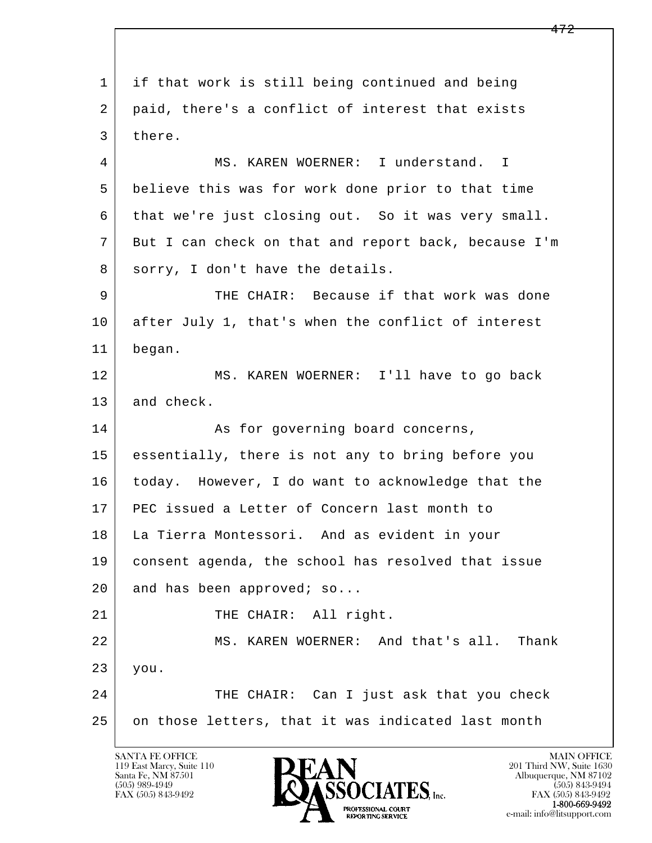l  $\overline{\phantom{a}}$  1 if that work is still being continued and being 2 | paid, there's a conflict of interest that exists 3 there. 4 MS. KAREN WOERNER: I understand. I 5 believe this was for work done prior to that time 6 that we're just closing out. So it was very small. 7 But I can check on that and report back, because I'm 8 sorry, I don't have the details. 9 THE CHAIR: Because if that work was done 10 after July 1, that's when the conflict of interest 11 began. 12 MS. KAREN WOERNER: I'll have to go back 13 and check. 14 As for governing board concerns, 15 essentially, there is not any to bring before you 16 today. However, I do want to acknowledge that the 17 PEC issued a Letter of Concern last month to 18 La Tierra Montessori. And as evident in your 19 consent agenda, the school has resolved that issue 20 and has been approved; so... 21 | THE CHAIR: All right. 22 MS. KAREN WOERNER: And that's all. Thank 23 you. 24 THE CHAIR: Can I just ask that you check 25 on those letters, that it was indicated last month

119 East Marcy, Suite 110<br>Santa Fe, NM 87501



FAX (505) 843-9492 FAX (505) 843-9492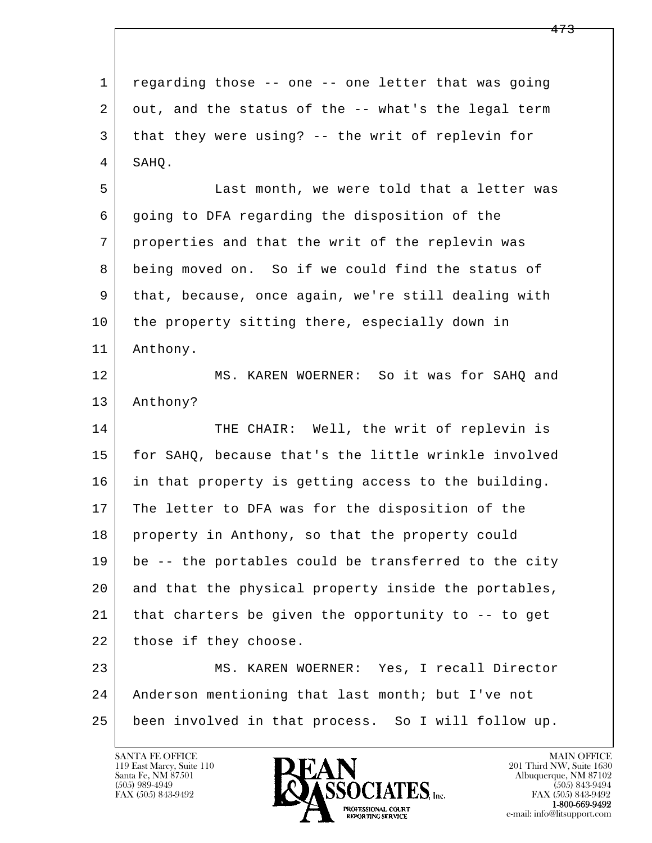l  $\overline{\phantom{a}}$  1 regarding those -- one -- one letter that was going 2 out, and the status of the -- what's the legal term 3 that they were using? -- the writ of replevin for 4 SAHQ. 5 Last month, we were told that a letter was 6 going to DFA regarding the disposition of the 7 properties and that the writ of the replevin was 8 being moved on. So if we could find the status of 9 that, because, once again, we're still dealing with 10 the property sitting there, especially down in 11 Anthony. 12 MS. KAREN WOERNER: So it was for SAHO and 13 Anthony? 14 THE CHAIR: Well, the writ of replevin is 15 for SAHQ, because that's the little wrinkle involved 16 in that property is getting access to the building. 17 The letter to DFA was for the disposition of the 18 property in Anthony, so that the property could 19 be -- the portables could be transferred to the city 20 and that the physical property inside the portables, 21 that charters be given the opportunity to -- to get 22 those if they choose. 23 MS. KAREN WOERNER: Yes, I recall Director 24 Anderson mentioning that last month; but I've not 25 been involved in that process. So I will follow up.

119 East Marcy, Suite 110<br>Santa Fe, NM 87501



FAX (505) 843-9492<br>**1-800-669-9492**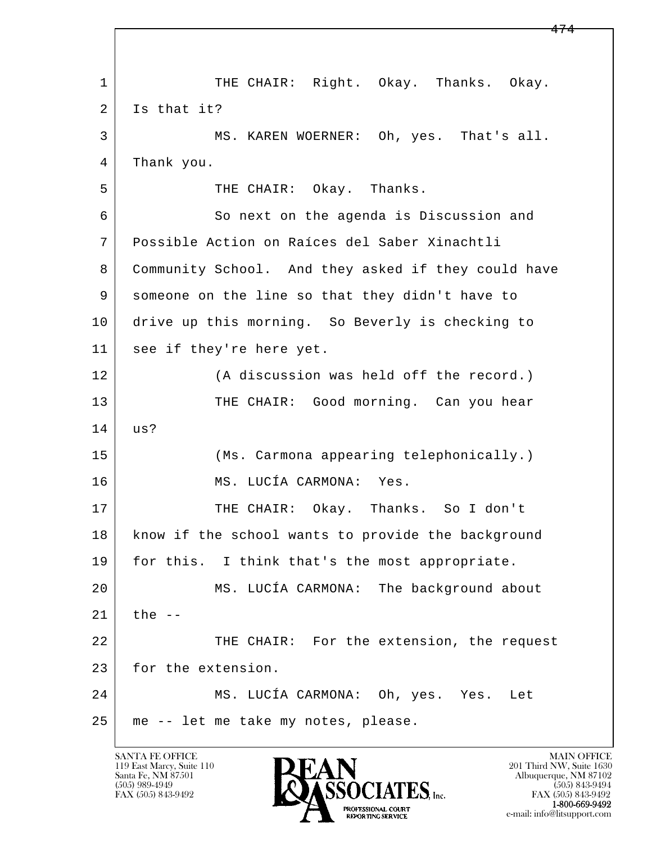l  $\overline{\phantom{a}}$ 1 | THE CHAIR: Right. Okay. Thanks. Okay. 2 Is that it? 3 MS. KAREN WOERNER: Oh, yes. That's all. 4 Thank you. 5 THE CHAIR: Okay. Thanks. 6 So next on the agenda is Discussion and 7 Possible Action on Raíces del Saber Xinachtli 8 Community School. And they asked if they could have 9 someone on the line so that they didn't have to 10 drive up this morning. So Beverly is checking to 11 see if they're here yet. 12 (A discussion was held off the record.) 13 THE CHAIR: Good morning. Can you hear 14 us? 15 (Ms. Carmona appearing telephonically.) 16 MS. LUCÍA CARMONA: Yes. 17 | THE CHAIR: Okay. Thanks. So I don't 18 | know if the school wants to provide the background 19 | for this. I think that's the most appropriate. 20 | MS. LUCÍA CARMONA: The background about  $21$  the  $-$ 22 THE CHAIR: For the extension, the request 23 for the extension. 24 MS. LUCÍA CARMONA: Oh, yes. Yes. Let 25 me -- let me take my notes, please.

119 East Marcy, Suite 110<br>Santa Fe, NM 87501



FAX (505) 843-9492 FAX (505) 843-9492 e-mail: info@litsupport.com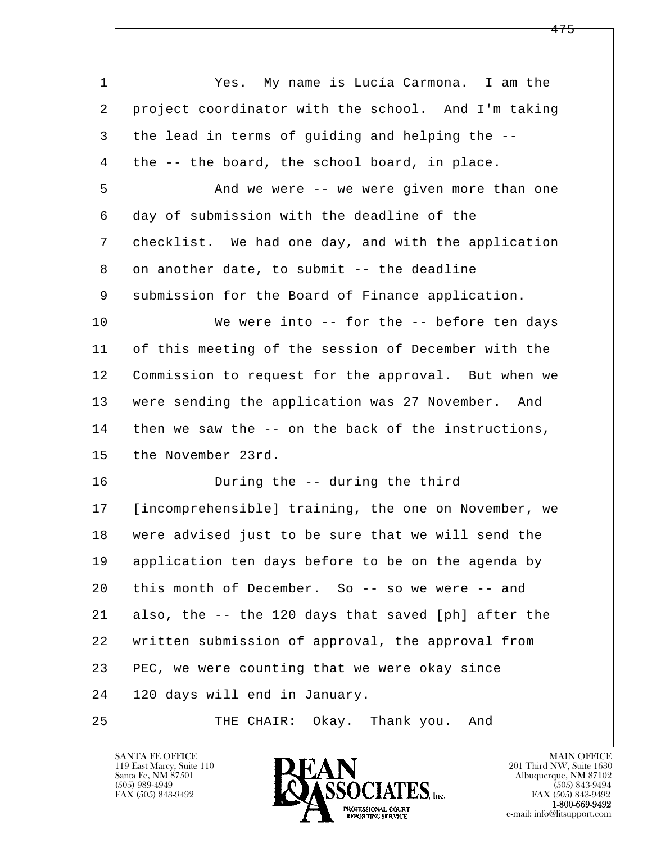| 1      | My name is Lucía Carmona. I am the<br>Yes.           |
|--------|------------------------------------------------------|
| 2      | project coordinator with the school. And I'm taking  |
| 3      | the lead in terms of guiding and helping the --      |
| 4      | the -- the board, the school board, in place.        |
| 5      | And we were -- we were given more than one           |
| 6      | day of submission with the deadline of the           |
| 7      | checklist. We had one day, and with the application  |
| 8      | on another date, to submit -- the deadline           |
| 9      | submission for the Board of Finance application.     |
| 10     | We were into $--$ for the $--$ before ten days       |
| 11     | of this meeting of the session of December with the  |
| 12     | Commission to request for the approval. But when we  |
| 13     | were sending the application was 27 November. And    |
| 14     | then we saw the -- on the back of the instructions,  |
| 15     | the November 23rd.                                   |
| 16     | During the -- during the third                       |
| 17     | [incomprehensible] training, the one on November, we |
| $1\,8$ | were advised just to be sure that we will send the   |
| 19     | application ten days before to be on the agenda by   |
| 20     | this month of December. So -- so we were -- and      |
| 21     | also, the -- the 120 days that saved [ph] after the  |
| 22     | written submission of approval, the approval from    |
| 23     | PEC, we were counting that we were okay since        |
| 24     | 120 days will end in January.                        |
| 25     | THE CHAIR: Okay. Thank you. And                      |

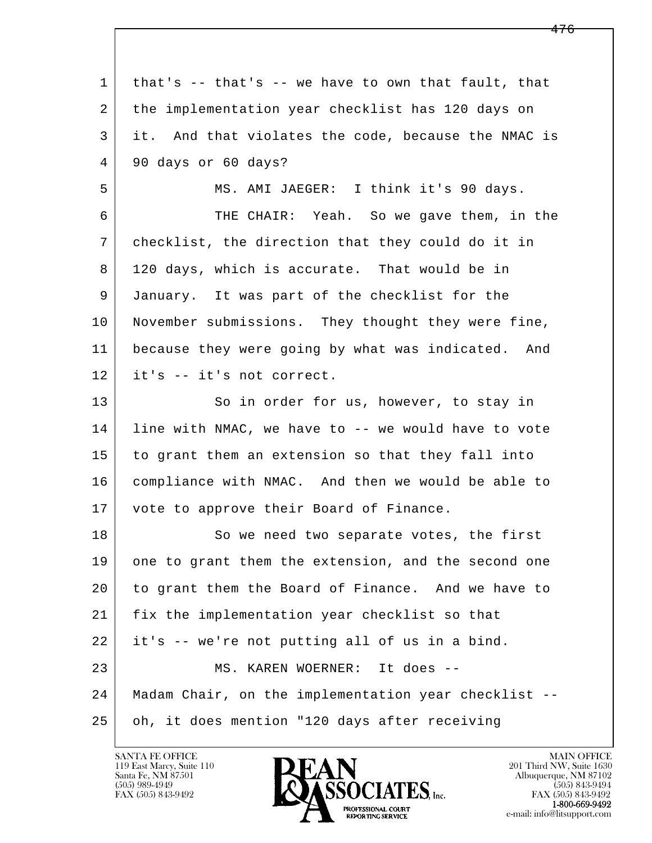| $\mathbf 1$ | that's -- that's -- we have to own that fault, that  |
|-------------|------------------------------------------------------|
| 2           | the implementation year checklist has 120 days on    |
| 3           | it. And that violates the code, because the NMAC is  |
| 4           | 90 days or 60 days?                                  |
| 5           | MS. AMI JAEGER: I think it's 90 days.                |
| 6           | THE CHAIR: Yeah. So we gave them, in the             |
| 7           | checklist, the direction that they could do it in    |
| 8           | 120 days, which is accurate. That would be in        |
| 9           | January. It was part of the checklist for the        |
| 10          | November submissions. They thought they were fine,   |
| 11          | because they were going by what was indicated. And   |
| 12          | it's -- it's not correct.                            |
| 13          | So in order for us, however, to stay in              |
| 14          | line with NMAC, we have to -- we would have to vote  |
| 15          | to grant them an extension so that they fall into    |
| 16          | compliance with NMAC. And then we would be able to   |
| 17          | vote to approve their Board of Finance.              |
| 18          | So we need two separate votes, the first             |
| 19          | one to grant them the extension, and the second one  |
| 20          | to grant them the Board of Finance. And we have to   |
| 21          | fix the implementation year checklist so that        |
| 22          | it's -- we're not putting all of us in a bind.       |
| 23          | MS. KAREN WOERNER: It does --                        |
| 24          | Madam Chair, on the implementation year checklist -- |
| 25          | oh, it does mention "120 days after receiving        |

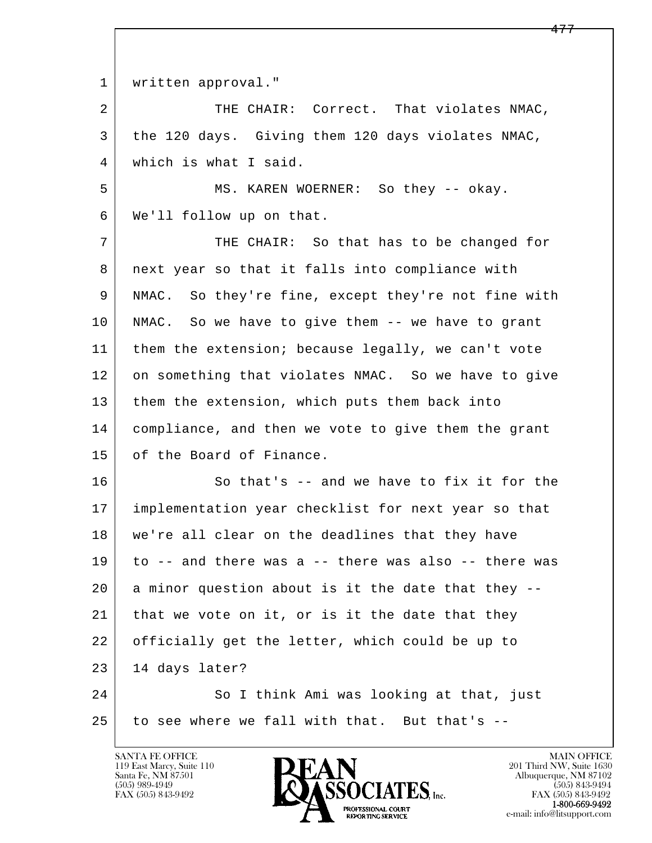l  $\overline{\phantom{a}}$ 1 | written approval." 2 THE CHAIR: Correct. That violates NMAC, 3 the 120 days. Giving them 120 days violates NMAC, 4 which is what I said. 5 MS. KAREN WOERNER: So they -- okay. 6 We'll follow up on that. 7 THE CHAIR: So that has to be changed for 8 next year so that it falls into compliance with 9 NMAC. So they're fine, except they're not fine with 10 NMAC. So we have to give them -- we have to grant 11 | them the extension; because legally, we can't vote 12 on something that violates NMAC. So we have to give 13 them the extension, which puts them back into 14 compliance, and then we vote to give them the grant 15 of the Board of Finance. 16 So that's -- and we have to fix it for the 17 implementation year checklist for next year so that 18 we're all clear on the deadlines that they have 19 to -- and there was a -- there was also -- there was  $20$  a minor question about is it the date that they  $-$ 21 | that we vote on it, or is it the date that they 22 officially get the letter, which could be up to  $23$  | 14 days later? 24 So I think Ami was looking at that, just  $25$  to see where we fall with that. But that's  $-$ 

119 East Marcy, Suite 110<br>Santa Fe, NM 87501

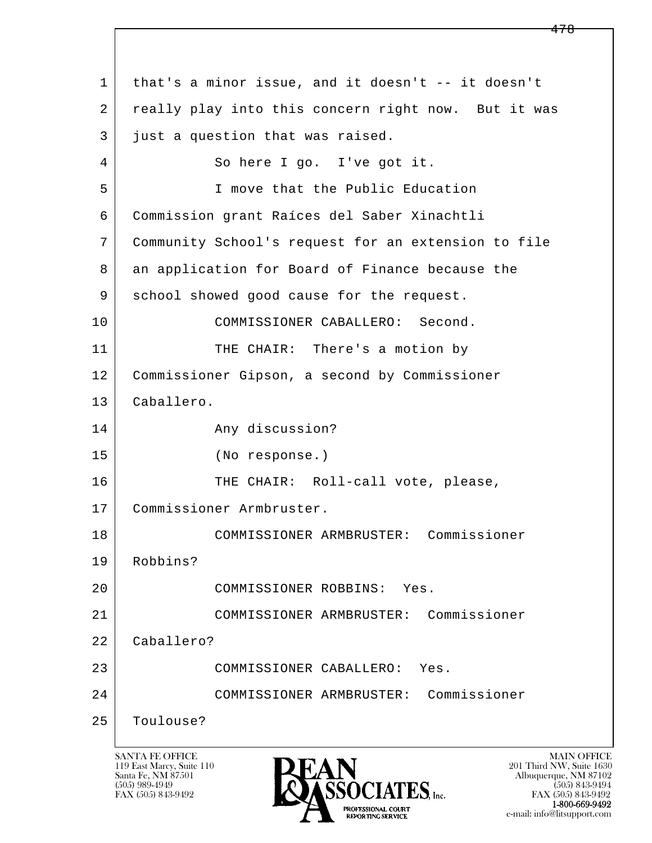l  $\overline{\phantom{a}}$  1 that's a minor issue, and it doesn't -- it doesn't 2 really play into this concern right now. But it was 3 just a question that was raised. 4 So here I go. I've got it. 5 I move that the Public Education 6 Commission grant Raíces del Saber Xinachtli 7 Community School's request for an extension to file 8 an application for Board of Finance because the 9 | school showed good cause for the request. 10 | COMMISSIONER CABALLERO: Second. 11 THE CHAIR: There's a motion by 12 Commissioner Gipson, a second by Commissioner 13 Caballero. 14 Any discussion? 15 (No response.) 16 THE CHAIR: Roll-call vote, please, 17 Commissioner Armbruster. 18 COMMISSIONER ARMBRUSTER: Commissioner 19 Robbins? 20 COMMISSIONER ROBBINS: Yes. 21 COMMISSIONER ARMBRUSTER: Commissioner 22 Caballero? 23 COMMISSIONER CABALLERO: Yes. 24 COMMISSIONER ARMBRUSTER: Commissioner 25 Toulouse?

119 East Marcy, Suite 110<br>Santa Fe, NM 87501



FAX (505) 843-9492 FAX (505) 843-9492 e-mail: info@litsupport.com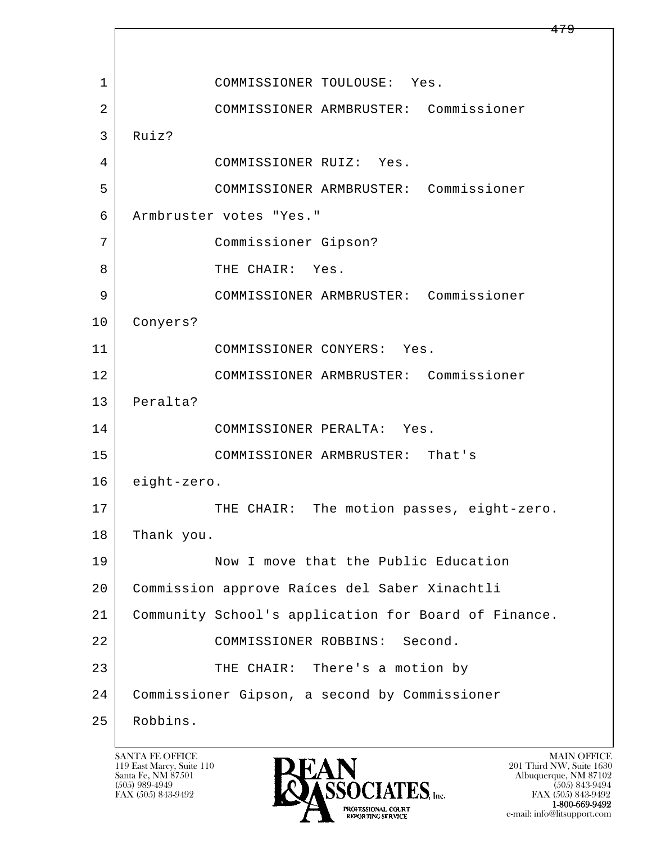l  $\overline{\phantom{a}}$ 1 COMMISSIONER TOULOUSE: Yes. 2 COMMISSIONER ARMBRUSTER: Commissioner 3 Ruiz? 4 COMMISSIONER RUIZ: Yes. 5 COMMISSIONER ARMBRUSTER: Commissioner 6 Armbruster votes "Yes." 7 Commissioner Gipson? 8 THE CHAIR: Yes. 9 COMMISSIONER ARMBRUSTER: Commissioner 10 Conyers? 11 COMMISSIONER CONYERS: Yes. 12 COMMISSIONER ARMBRUSTER: Commissioner 13 Peralta? 14 COMMISSIONER PERALTA: Yes. 15 COMMISSIONER ARMBRUSTER: That's 16 eight-zero. 17 | THE CHAIR: The motion passes, eight-zero. 18 Thank you. 19 Now I move that the Public Education 20 Commission approve Raíces del Saber Xinachtli 21 Community School's application for Board of Finance. 22 COMMISSIONER ROBBINS: Second. 23 THE CHAIR: There's a motion by 24 Commissioner Gipson, a second by Commissioner 25 Robbins.

119 East Marcy, Suite 110<br>Santa Fe, NM 87501



FAX (505) 843-9492 FAX (505) 843-9492 e-mail: info@litsupport.com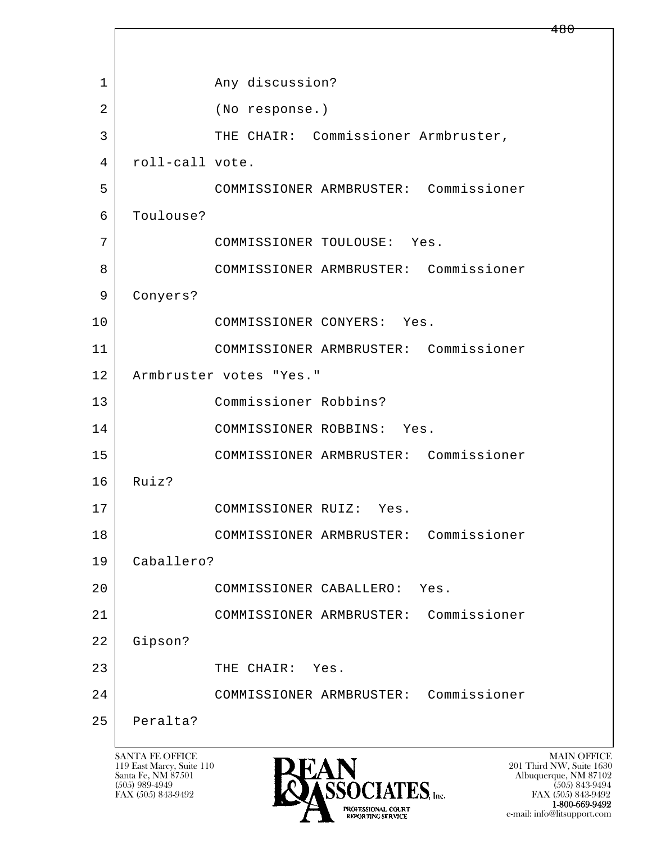l  $\overline{\phantom{a}}$ 1 any discussion? 2 (No response.) 3 THE CHAIR: Commissioner Armbruster, 4 roll-call vote. 5 COMMISSIONER ARMBRUSTER: Commissioner 6 Toulouse? 7 COMMISSIONER TOULOUSE: Yes. 8 COMMISSIONER ARMBRUSTER: Commissioner 9 Conyers? 10 COMMISSIONER CONYERS: Yes. 11 COMMISSIONER ARMBRUSTER: Commissioner 12 Armbruster votes "Yes." 13 Commissioner Robbins? 14 COMMISSIONER ROBBINS: Yes. 15 COMMISSIONER ARMBRUSTER: Commissioner 16 Ruiz? 17 COMMISSIONER RUIZ: Yes. 18 COMMISSIONER ARMBRUSTER: Commissioner 19 Caballero? 20 COMMISSIONER CABALLERO: Yes. 21 COMMISSIONER ARMBRUSTER: Commissioner 22 Gipson? 23 THE CHAIR: Yes. 24 COMMISSIONER ARMBRUSTER: Commissioner 25 Peralta?

119 East Marcy, Suite 110<br>Santa Fe, NM 87501



FAX (505) 843-9492<br>**1-800-669-9492** e-mail: info@litsupport.com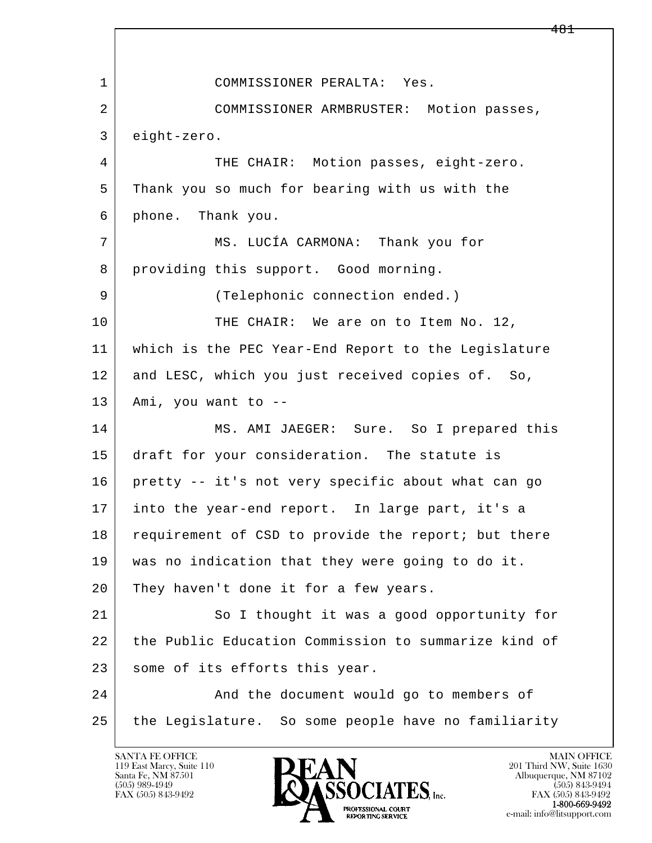l  $\overline{\phantom{a}}$  1 COMMISSIONER PERALTA: Yes. 2 COMMISSIONER ARMBRUSTER: Motion passes, 3 eight-zero. 4 THE CHAIR: Motion passes, eight-zero. 5 Thank you so much for bearing with us with the 6 phone. Thank you. 7 MS. LUCÍA CARMONA: Thank you for 8 providing this support. Good morning. 9 | (Telephonic connection ended.) 10 THE CHAIR: We are on to Item No. 12, 11 which is the PEC Year-End Report to the Legislature 12 and LESC, which you just received copies of. So, 13 Ami, you want to -- 14 MS. AMI JAEGER: Sure. So I prepared this 15 draft for your consideration. The statute is 16 pretty -- it's not very specific about what can go 17 into the year-end report. In large part, it's a 18 requirement of CSD to provide the report; but there 19 was no indication that they were going to do it. 20 They haven't done it for a few years. 21 So I thought it was a good opportunity for 22 the Public Education Commission to summarize kind of 23 some of its efforts this year. 24 And the document would go to members of 25 the Legislature. So some people have no familiarity

119 East Marcy, Suite 110<br>Santa Fe, NM 87501

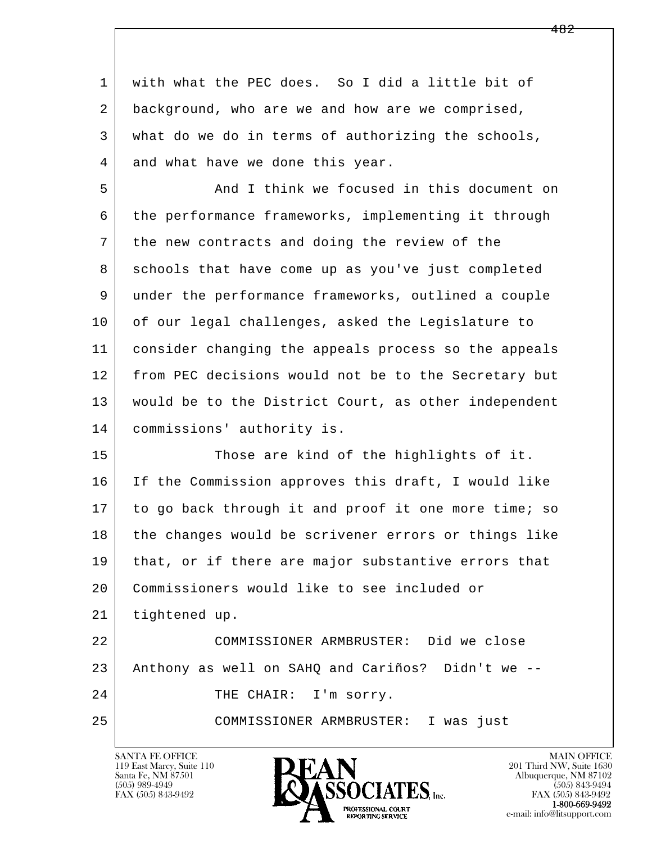1 with what the PEC does. So I did a little bit of 2 background, who are we and how are we comprised, 3 what do we do in terms of authorizing the schools, 4 and what have we done this year.

 5 And I think we focused in this document on 6 the performance frameworks, implementing it through 7 the new contracts and doing the review of the 8 schools that have come up as you've just completed 9 under the performance frameworks, outlined a couple 10 of our legal challenges, asked the Legislature to 11 consider changing the appeals process so the appeals 12 from PEC decisions would not be to the Secretary but 13 would be to the District Court, as other independent 14 commissions' authority is.

l 15 Those are kind of the highlights of it. 16 If the Commission approves this draft, I would like 17 to go back through it and proof it one more time; so 18 the changes would be scrivener errors or things like 19 | that, or if there are major substantive errors that 20 Commissioners would like to see included or 21 tightened up. 22 COMMISSIONER ARMBRUSTER: Did we close 23 Anthony as well on SAHQ and Cariños? Didn't we -- 24 THE CHAIR: I'm sorry.

25 COMMISSIONER ARMBRUSTER: I was just

119 East Marcy, Suite 110<br>Santa Fe, NM 87501

 $\overline{\phantom{a}}$ 

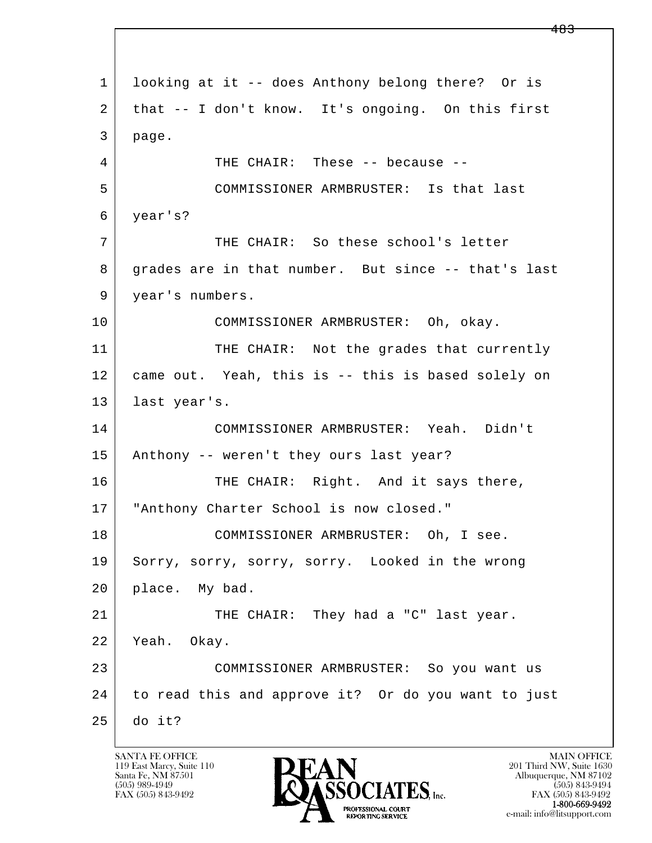l  $\overline{\phantom{a}}$  1 looking at it -- does Anthony belong there? Or is 2 that -- I don't know. It's ongoing. On this first 3 page. 4 THE CHAIR: These -- because -- 5 COMMISSIONER ARMBRUSTER: Is that last 6 year's? 7 THE CHAIR: So these school's letter 8 grades are in that number. But since -- that's last 9 | year's numbers. 10 COMMISSIONER ARMBRUSTER: Oh, okay. 11 THE CHAIR: Not the grades that currently 12 came out. Yeah, this is -- this is based solely on 13 last year's. 14 COMMISSIONER ARMBRUSTER: Yeah. Didn't 15 Anthony -- weren't they ours last year? 16 THE CHAIR: Right. And it says there, 17 | "Anthony Charter School is now closed." 18 COMMISSIONER ARMBRUSTER: Oh, I see. 19 Sorry, sorry, sorry, sorry. Looked in the wrong 20 | place. My bad. 21 THE CHAIR: They had a "C" last year. 22 Yeah. Okay. 23 COMMISSIONER ARMBRUSTER: So you want us 24 to read this and approve it? Or do you want to just 25 do it?

119 East Marcy, Suite 110<br>Santa Fe, NM 87501

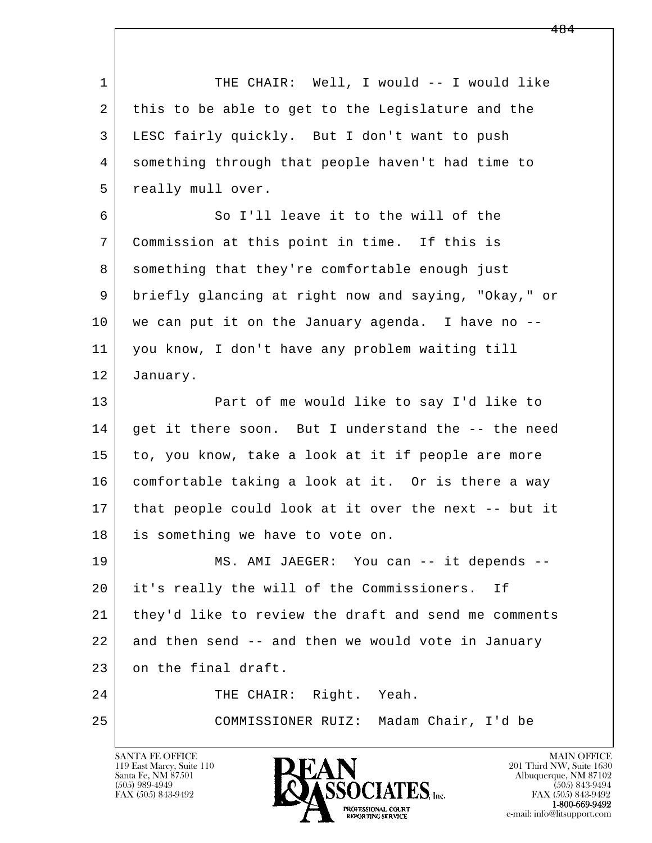l  $\overline{\phantom{a}}$ 1 THE CHAIR: Well, I would -- I would like 2 this to be able to get to the Legislature and the 3 LESC fairly quickly. But I don't want to push 4 something through that people haven't had time to 5 | really mull over. 6 So I'll leave it to the will of the 7 Commission at this point in time. If this is 8 something that they're comfortable enough just 9 briefly glancing at right now and saying, "Okay," or 10 we can put it on the January agenda. I have no -- 11 you know, I don't have any problem waiting till 12 January. 13 **Part of me would like to say I'd like to** 14 | get it there soon. But I understand the -- the need 15 to, you know, take a look at it if people are more 16 comfortable taking a look at it. Or is there a way 17 that people could look at it over the next -- but it 18 is something we have to vote on. 19 | MS. AMI JAEGER: You can -- it depends --20 it's really the will of the Commissioners. If 21 they'd like to review the draft and send me comments 22 and then send -- and then we would vote in January 23 on the final draft. 24 THE CHAIR: Right. Yeah. 25 COMMISSIONER RUIZ: Madam Chair, I'd be

119 East Marcy, Suite 110<br>Santa Fe, NM 87501

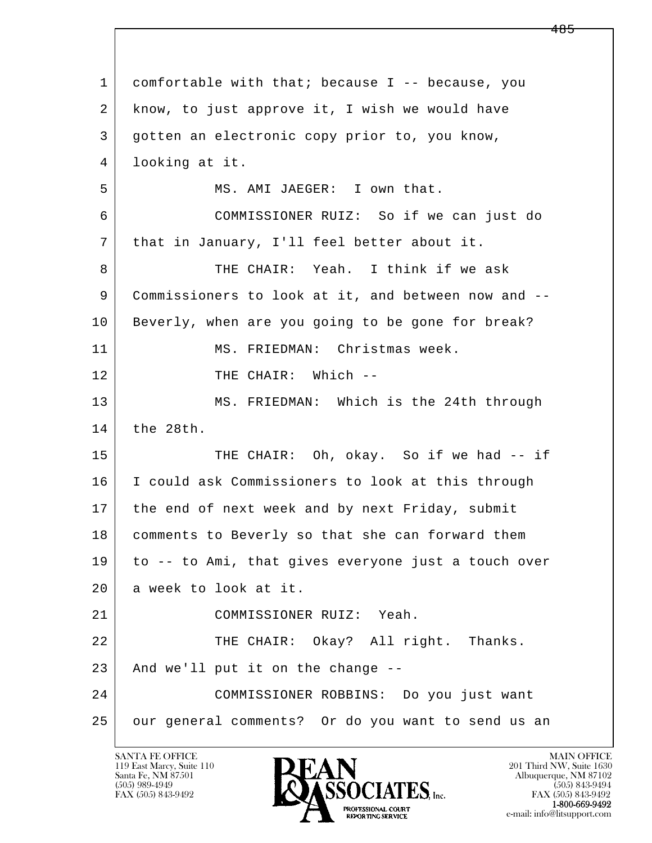l  $\overline{\phantom{a}}$  1 comfortable with that; because I -- because, you 2 know, to just approve it, I wish we would have 3 gotten an electronic copy prior to, you know, 4 looking at it. 5 MS. AMI JAEGER: I own that. 6 COMMISSIONER RUIZ: So if we can just do 7 | that in January, I'll feel better about it. 8 THE CHAIR: Yeah. I think if we ask 9 Commissioners to look at it, and between now and -- 10 Beverly, when are you going to be gone for break? 11 MS. FRIEDMAN: Christmas week. 12 | THE CHAIR: Which --13 | MS. FRIEDMAN: Which is the 24th through 14 the 28th. 15 THE CHAIR: Oh, okay. So if we had -- if 16 I could ask Commissioners to look at this through 17 | the end of next week and by next Friday, submit 18 | comments to Beverly so that she can forward them 19 to -- to Ami, that gives everyone just a touch over 20 a week to look at it. 21 COMMISSIONER RUIZ: Yeah. 22 THE CHAIR: Okay? All right. Thanks.  $23$  And we'll put it on the change  $-$ - 24 COMMISSIONER ROBBINS: Do you just want 25 our general comments? Or do you want to send us an

119 East Marcy, Suite 110<br>Santa Fe, NM 87501

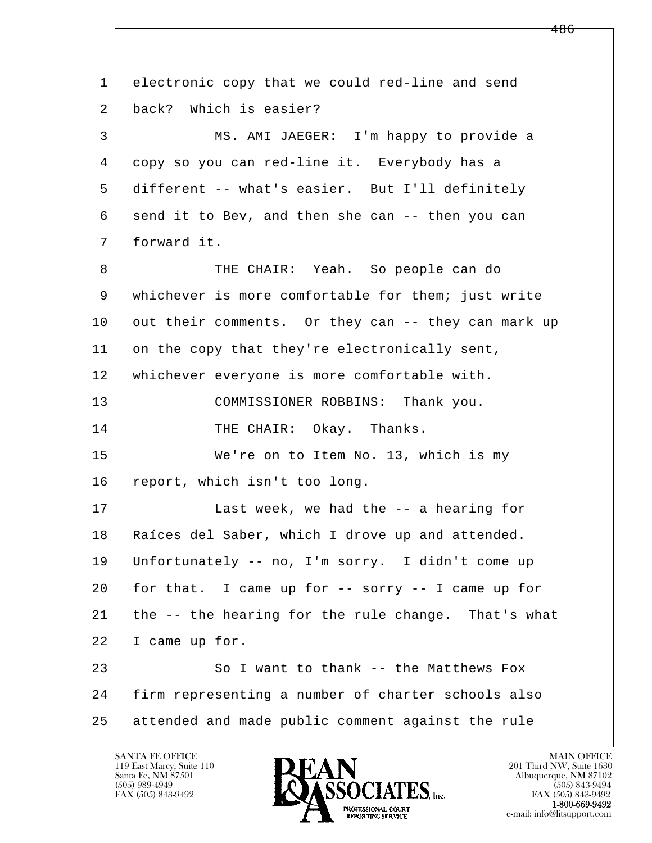l  $\overline{\phantom{a}}$  1 electronic copy that we could red-line and send 2 back? Which is easier? 3 MS. AMI JAEGER: I'm happy to provide a 4 copy so you can red-line it. Everybody has a 5 different -- what's easier. But I'll definitely 6 send it to Bev, and then she can -- then you can 7 forward it. 8 THE CHAIR: Yeah. So people can do 9 whichever is more comfortable for them; just write 10 out their comments. Or they can -- they can mark up 11 on the copy that they're electronically sent, 12 whichever everyone is more comfortable with. 13 COMMISSIONER ROBBINS: Thank you. 14 THE CHAIR: Okay. Thanks. 15 We're on to Item No. 13, which is my 16 report, which isn't too long. 17 | Last week, we had the -- a hearing for 18 | Raíces del Saber, which I drove up and attended. 19 Unfortunately -- no, I'm sorry. I didn't come up 20 for that. I came up for -- sorry -- I came up for 21 the -- the hearing for the rule change. That's what 22 I came up for. 23 So I want to thank -- the Matthews Fox 24 firm representing a number of charter schools also 25 attended and made public comment against the rule

119 East Marcy, Suite 110<br>Santa Fe, NM 87501



FAX (505) 843-9492<br>1-800-669-9492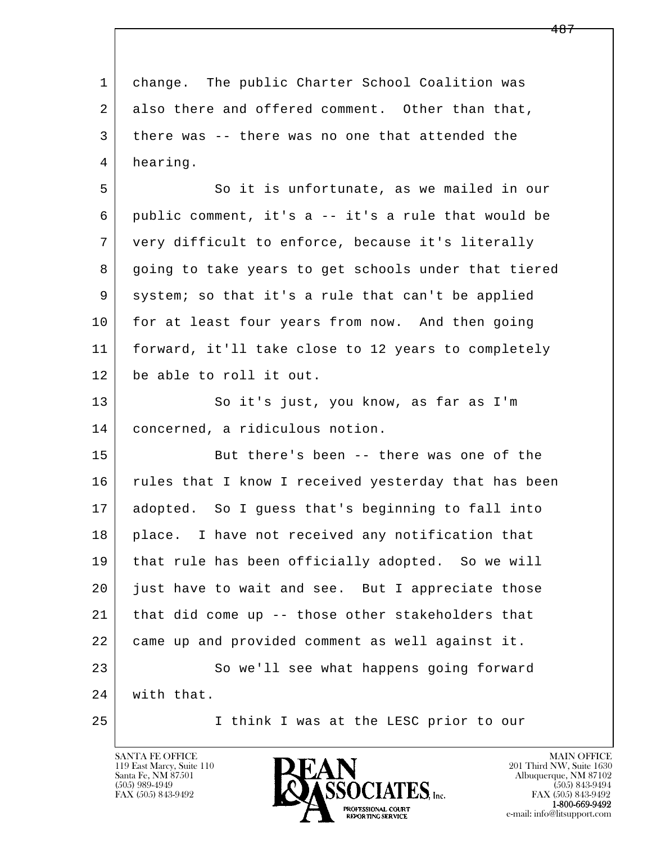| $\mathbf{1}$ | change. The public Charter School Coalition was      |
|--------------|------------------------------------------------------|
| 2            | also there and offered comment. Other than that,     |
| 3            | there was -- there was no one that attended the      |
| 4            | hearing.                                             |
| 5            | So it is unfortunate, as we mailed in our            |
| 6            | public comment, it's a -- it's a rule that would be  |
| 7            | very difficult to enforce, because it's literally    |
| 8            | going to take years to get schools under that tiered |
| 9            | system; so that it's a rule that can't be applied    |
| 10           | for at least four years from now. And then going     |
| 11           | forward, it'll take close to 12 years to completely  |
| 12           | be able to roll it out.                              |
| 13           | So it's just, you know, as far as I'm                |
| 14           | concerned, a ridiculous notion.                      |
| 15           | But there's been -- there was one of the             |
| 16           | rules that I know I received yesterday that has been |
| 17           | adopted. So I quess that's beginning to fall into    |
| 18           | place. I have not received any notification that     |
| 19           | that rule has been officially adopted. So we will    |
| 20           | just have to wait and see. But I appreciate those    |
| 21           | that did come up -- those other stakeholders that    |
| 22           | came up and provided comment as well against it.     |
| 23           | So we'll see what happens going forward              |
| 24           | with that.                                           |
| 25           | I think I was at the LESC prior to our               |

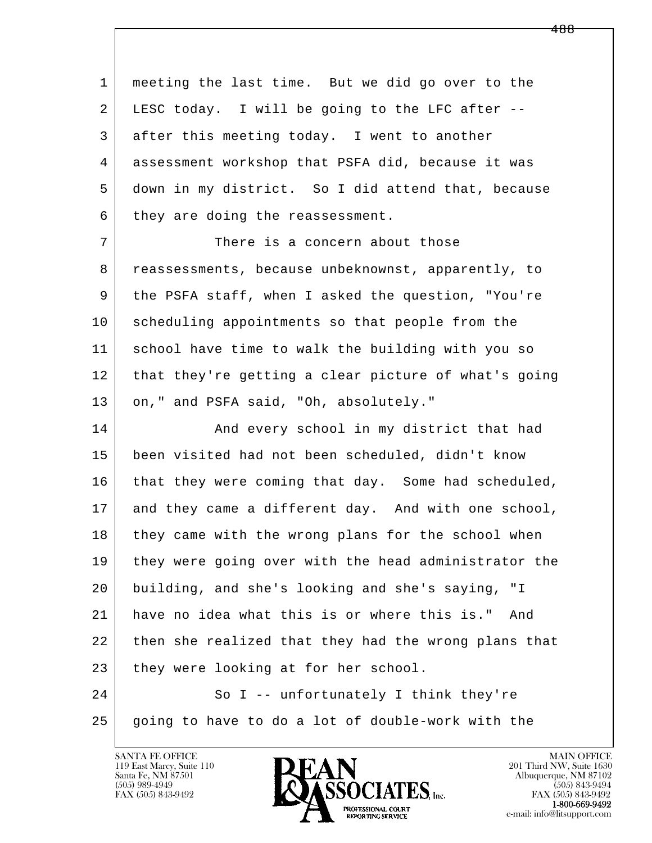l  $\overline{\phantom{a}}$  1 meeting the last time. But we did go over to the 2 LESC today. I will be going to the LFC after -- 3 after this meeting today. I went to another 4 assessment workshop that PSFA did, because it was 5 down in my district. So I did attend that, because  $6$  they are doing the reassessment. 7 There is a concern about those 8 reassessments, because unbeknownst, apparently, to 9 the PSFA staff, when I asked the question, "You're 10 scheduling appointments so that people from the 11 school have time to walk the building with you so 12 that they're getting a clear picture of what's going 13 | on," and PSFA said, "Oh, absolutely." 14 And every school in my district that had 15 been visited had not been scheduled, didn't know 16 that they were coming that day. Some had scheduled, 17 and they came a different day. And with one school, 18 they came with the wrong plans for the school when 19 they were going over with the head administrator the 20 building, and she's looking and she's saying, "I 21 have no idea what this is or where this is." And 22 then she realized that they had the wrong plans that 23 they were looking at for her school. 24 So I -- unfortunately I think they're 25 going to have to do a lot of double-work with the

119 East Marcy, Suite 110<br>Santa Fe, NM 87501



FAX (505) 843-9492<br>**1-800-669-9492**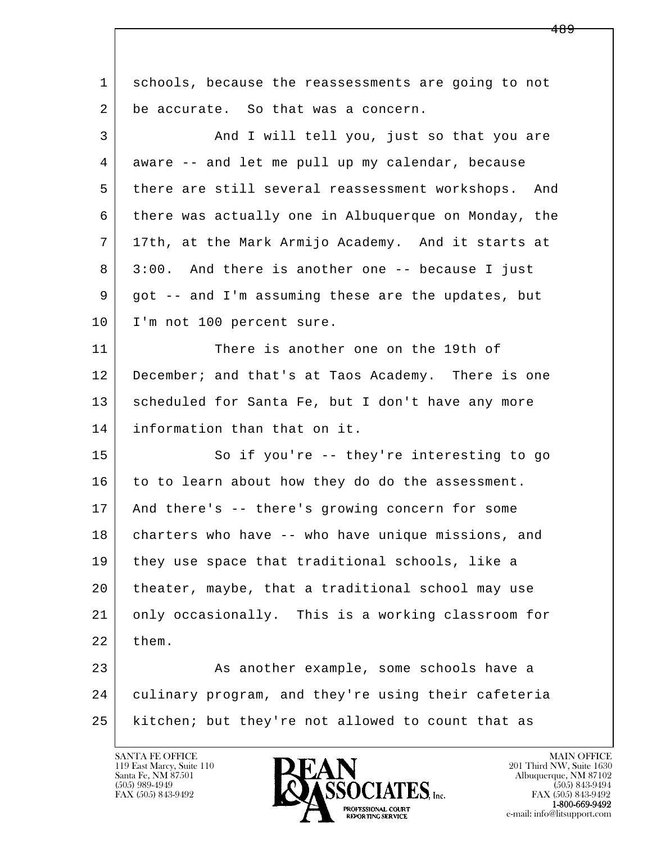l  $\overline{\phantom{a}}$  1 schools, because the reassessments are going to not 2 be accurate. So that was a concern. 3 And I will tell you, just so that you are 4 aware -- and let me pull up my calendar, because 5 there are still several reassessment workshops. And 6 there was actually one in Albuquerque on Monday, the 7 17th, at the Mark Armijo Academy. And it starts at 8 3:00. And there is another one -- because I just 9 | got -- and I'm assuming these are the updates, but 10 | I'm not 100 percent sure. 11 There is another one on the 19th of 12 December; and that's at Taos Academy. There is one 13 | scheduled for Santa Fe, but I don't have any more 14 information than that on it. 15 | So if you're -- they're interesting to go 16 to to learn about how they do do the assessment. 17 And there's -- there's growing concern for some 18 charters who have -- who have unique missions, and 19 they use space that traditional schools, like a 20 theater, maybe, that a traditional school may use 21 only occasionally. This is a working classroom for  $22$  them. 23 As another example, some schools have a 24 culinary program, and they're using their cafeteria 25 kitchen; but they're not allowed to count that as

119 East Marcy, Suite 110<br>Santa Fe, NM 87501



FAX (505) 843-9492<br>**1-800-669-9492**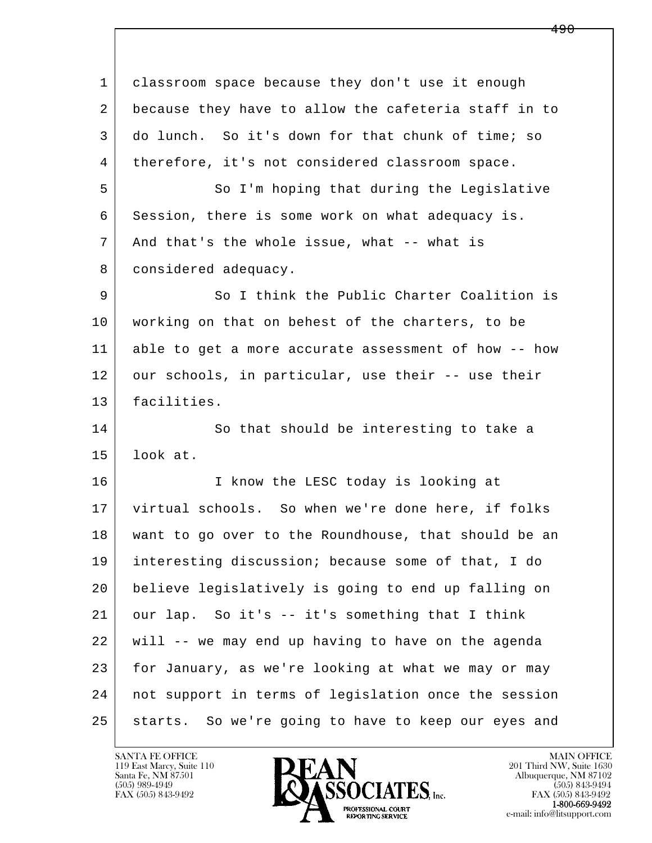| $\mathbf{1}$ | classroom space because they don't use it enough       |
|--------------|--------------------------------------------------------|
| 2            | because they have to allow the cafeteria staff in to   |
| 3            | do lunch. So it's down for that chunk of time; so      |
| 4            | therefore, it's not considered classroom space.        |
| 5            | So I'm hoping that during the Legislative              |
| 6            | Session, there is some work on what adequacy is.       |
| 7            | And that's the whole issue, what -- what is            |
| 8            | considered adequacy.                                   |
| 9            | So I think the Public Charter Coalition is             |
| 10           | working on that on behest of the charters, to be       |
| 11           | able to get a more accurate assessment of how -- how   |
| 12           | our schools, in particular, use their -- use their     |
| 13           | facilities.                                            |
| 14           | So that should be interesting to take a                |
| 15           | look at.                                               |
| 16           | I know the LESC today is looking at                    |
| 17           | virtual schools. So when we're done here, if folks     |
| 18           | want to go over to the Roundhouse, that should be an   |
| 19           | interesting discussion; because some of that, I do     |
| 20           | believe legislatively is going to end up falling on    |
| 21           | our lap. So it's -- it's something that I think        |
| 22           | will -- we may end up having to have on the agenda     |
| 23           | for January, as we're looking at what we may or may    |
| 24           | not support in terms of legislation once the session   |
| 25           | So we're going to have to keep our eyes and<br>starts. |

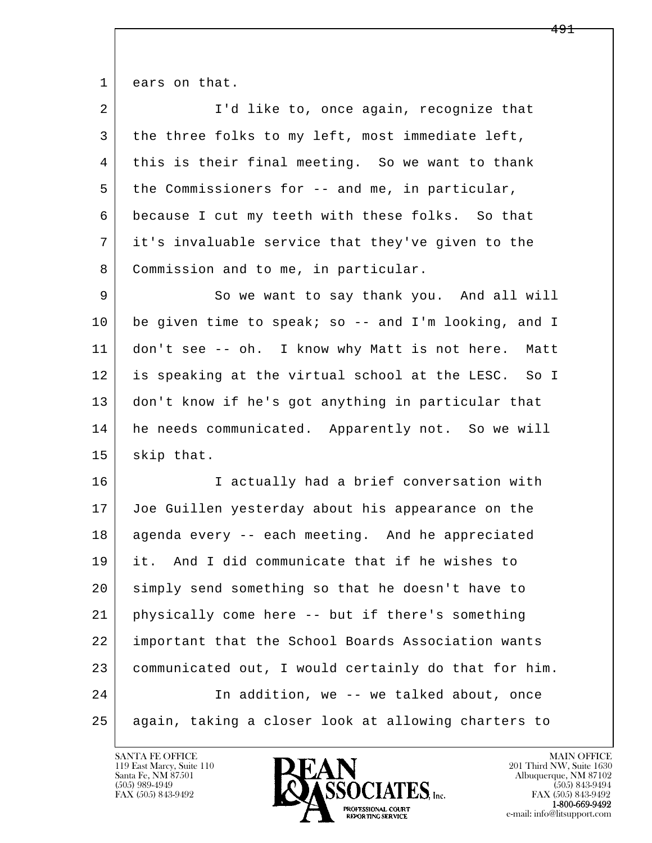1 ears on that.

| $\overline{2}$ | I'd like to, once again, recognize that              |
|----------------|------------------------------------------------------|
| 3              | the three folks to my left, most immediate left,     |
| 4              | this is their final meeting. So we want to thank     |
| 5              | the Commissioners for -- and me, in particular,      |
| 6              | because I cut my teeth with these folks. So that     |
| 7              | it's invaluable service that they've given to the    |
| 8              | Commission and to me, in particular.                 |
| 9              | So we want to say thank you. And all will            |
| 10             | be given time to speak; so -- and I'm looking, and I |
| 11             | don't see -- oh. I know why Matt is not here. Matt   |
| 12             | is speaking at the virtual school at the LESC. So I  |
| 13             | don't know if he's got anything in particular that   |
| 14             | he needs communicated. Apparently not. So we will    |
| 15             | skip that.                                           |
| 16             | I actually had a brief conversation with             |
| 17             | Joe Guillen yesterday about his appearance on the    |
| 18             | agenda every -- each meeting. And he appreciated     |
| 19             | it. And I did communicate that if he wishes to       |
| 20             | simply send something so that he doesn't have to     |
| 21             | physically come here -- but if there's something     |
| 22             | important that the School Boards Association wants   |
| 23             | communicated out, I would certainly do that for him. |
| 24             | In addition, we -- we talked about, once             |
| 25             | again, taking a closer look at allowing charters to  |

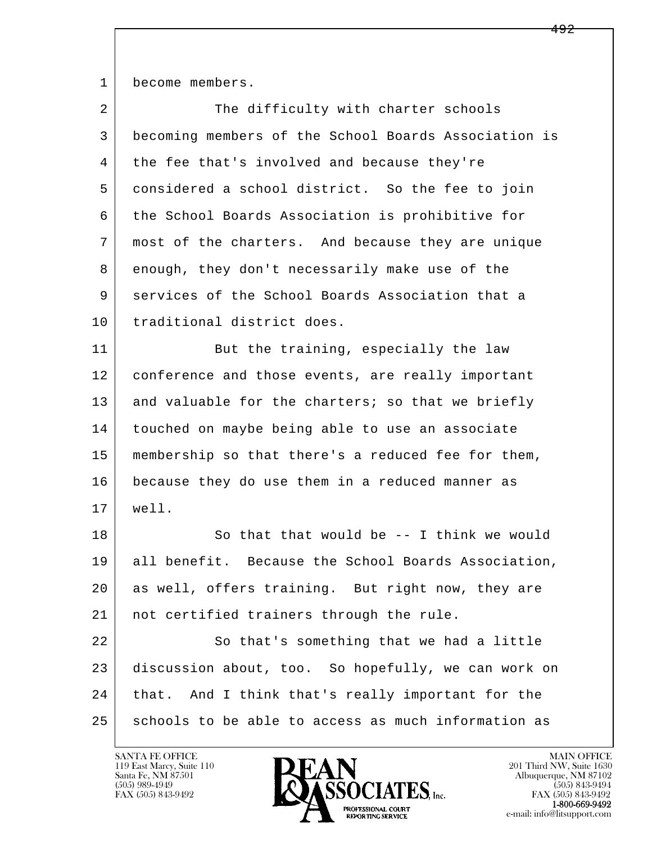1 become members.

| $\overline{a}$ | The difficulty with charter schools                  |
|----------------|------------------------------------------------------|
| 3              | becoming members of the School Boards Association is |
| 4              | the fee that's involved and because they're          |
| 5              | considered a school district. So the fee to join     |
| 6              | the School Boards Association is prohibitive for     |
| 7              | most of the charters. And because they are unique    |
| 8              | enough, they don't necessarily make use of the       |
| 9              | services of the School Boards Association that a     |
| 10             | traditional district does.                           |
| 11             | But the training, especially the law                 |
| 12             | conference and those events, are really important    |
| 13             | and valuable for the charters; so that we briefly    |
| 14             | touched on maybe being able to use an associate      |
| 15             | membership so that there's a reduced fee for them,   |
| 16             | because they do use them in a reduced manner as      |
| 17             | well.                                                |
| 18             | So that that would be $-$ I think we would           |
| 19             | all benefit. Because the School Boards Association,  |
| 20             | as well, offers training. But right now, they are    |
| 21             | not certified trainers through the rule.             |
| 22             | So that's something that we had a little             |
| 23             | discussion about, too. So hopefully, we can work on  |
| 24             | that. And I think that's really important for the    |
| 25             | schools to be able to access as much information as  |

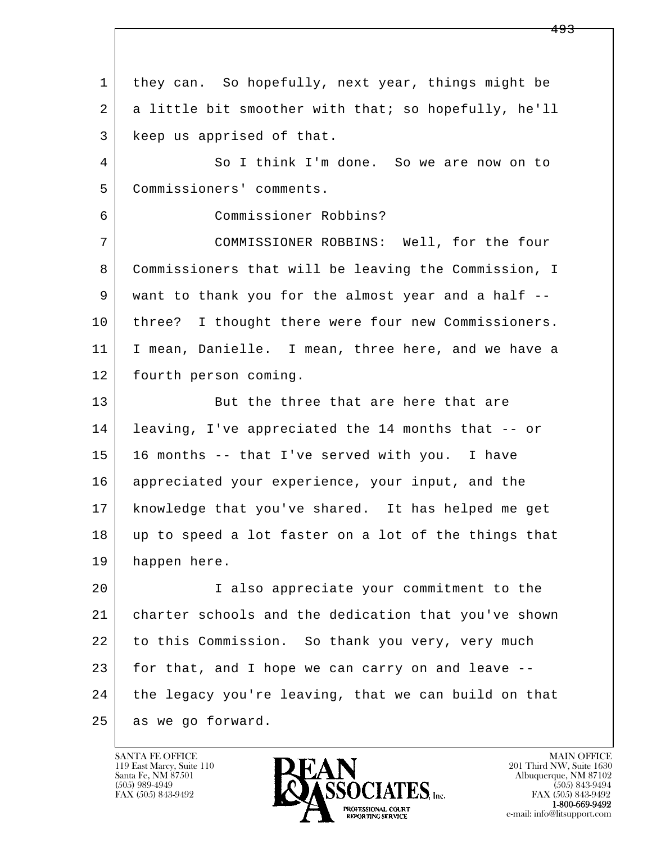l  $\overline{\phantom{a}}$  1 they can. So hopefully, next year, things might be 2 a little bit smoother with that; so hopefully, he'll 3 keep us apprised of that. 4 So I think I'm done. So we are now on to 5 Commissioners' comments. 6 Commissioner Robbins? 7 COMMISSIONER ROBBINS: Well, for the four 8 Commissioners that will be leaving the Commission, I 9 want to thank you for the almost year and a half -- 10 | three? I thought there were four new Commissioners. 11 I mean, Danielle. I mean, three here, and we have a 12 | fourth person coming. 13 But the three that are here that are 14 leaving, I've appreciated the 14 months that -- or 15 16 months -- that I've served with you. I have 16 appreciated your experience, your input, and the 17 knowledge that you've shared. It has helped me get 18 up to speed a lot faster on a lot of the things that 19 happen here. 20 I also appreciate your commitment to the 21 charter schools and the dedication that you've shown 22 to this Commission. So thank you very, very much 23 for that, and I hope we can carry on and leave -- 24 the legacy you're leaving, that we can build on that 25 as we go forward.

119 East Marcy, Suite 110<br>Santa Fe, NM 87501

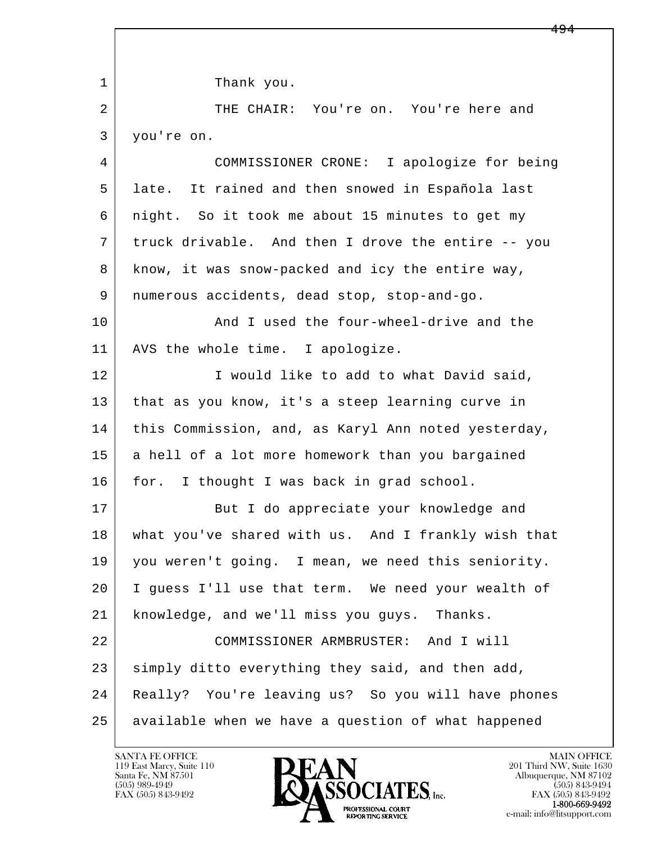l  $\overline{\phantom{a}}$ 1 Thank you. 2 THE CHAIR: You're on. You're here and 3 you're on. 4 COMMISSIONER CRONE: I apologize for being 5 late. It rained and then snowed in Española last 6 night. So it took me about 15 minutes to get my 7 truck drivable. And then I drove the entire -- you 8 know, it was snow-packed and icy the entire way, 9 numerous accidents, dead stop, stop-and-go. 10 And I used the four-wheel-drive and the 11 | AVS the whole time. I apologize. 12 I would like to add to what David said, 13 that as you know, it's a steep learning curve in 14 | this Commission, and, as Karyl Ann noted yesterday, 15 | a hell of a lot more homework than you bargained 16 for. I thought I was back in grad school. 17 But I do appreciate your knowledge and 18 what you've shared with us. And I frankly wish that 19 you weren't going. I mean, we need this seniority. 20 I guess I'll use that term. We need your wealth of 21 knowledge, and we'll miss you guys. Thanks. 22 COMMISSIONER ARMBRUSTER: And I will 23 simply ditto everything they said, and then add, 24 Really? You're leaving us? So you will have phones 25 available when we have a question of what happened

119 East Marcy, Suite 110<br>Santa Fe, NM 87501

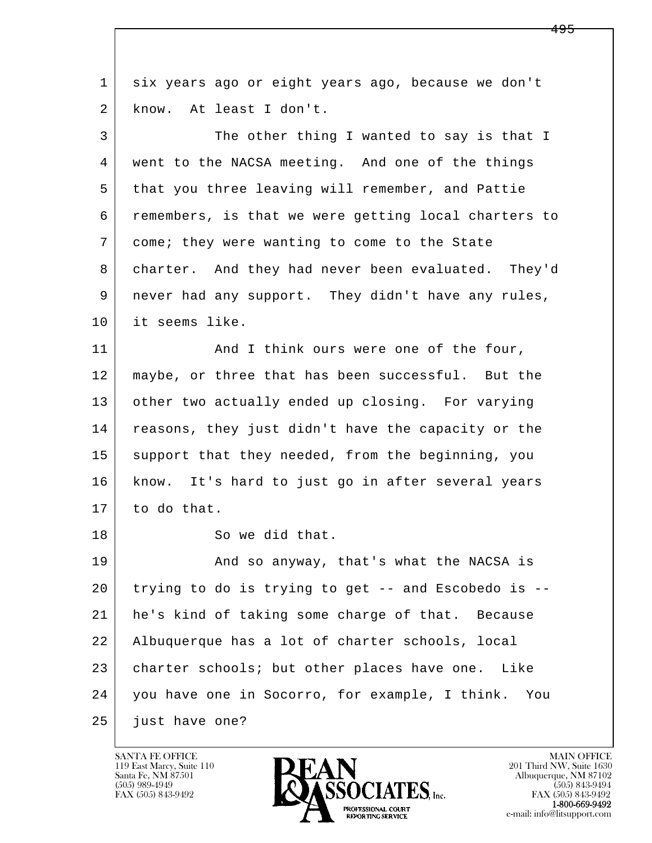| 1  | six years ago or eight years ago, because we don't    |
|----|-------------------------------------------------------|
| 2  | know. At least I don't.                               |
| 3  | The other thing I wanted to say is that I             |
| 4  | went to the NACSA meeting. And one of the things      |
| 5  | that you three leaving will remember, and Pattie      |
| 6  | remembers, is that we were getting local charters to  |
| 7  | come; they were wanting to come to the State          |
| 8  | charter. And they had never been evaluated. They'd    |
| 9  | never had any support. They didn't have any rules,    |
| 10 | it seems like.                                        |
| 11 | And I think ours were one of the four,                |
| 12 | maybe, or three that has been successful. But the     |
| 13 | other two actually ended up closing. For varying      |
| 14 | reasons, they just didn't have the capacity or the    |
| 15 | support that they needed, from the beginning, you     |
| 16 | know. It's hard to just go in after several years     |
| 17 | to do that.                                           |
| 18 | So we did that.                                       |
| 19 | And so anyway, that's what the NACSA is               |
| 20 | trying to do is trying to get -- and Escobedo is --   |
| 21 | he's kind of taking some charge of that. Because      |
| 22 | Albuquerque has a lot of charter schools, local       |
| 23 | charter schools; but other places have one. Like      |
| 24 | you have one in Socorro, for example, I think.<br>You |
| 25 | just have one?                                        |

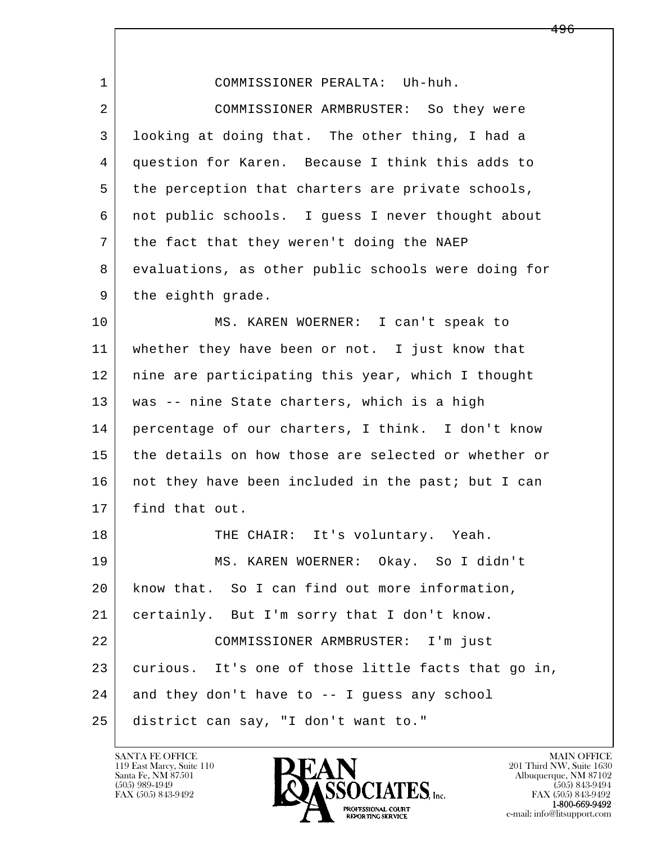| $\mathbf{1}$ | COMMISSIONER PERALTA: Uh-huh.                       |
|--------------|-----------------------------------------------------|
| 2            | COMMISSIONER ARMBRUSTER: So they were               |
| 3            | looking at doing that. The other thing, I had a     |
| 4            | question for Karen. Because I think this adds to    |
| 5            | the perception that charters are private schools,   |
| 6            | not public schools. I guess I never thought about   |
| 7            | the fact that they weren't doing the NAEP           |
| 8            | evaluations, as other public schools were doing for |
| 9            | the eighth grade.                                   |
| 10           | MS. KAREN WOERNER: I can't speak to                 |
| 11           | whether they have been or not. I just know that     |
| 12           | nine are participating this year, which I thought   |
| 13           | was -- nine State charters, which is a high         |
| 14           | percentage of our charters, I think. I don't know   |
| 15           | the details on how those are selected or whether or |
| 16           | not they have been included in the past; but I can  |
| 17           | find that out.                                      |
| 18           | THE CHAIR: It's voluntary. Yeah.                    |
| 19           | MS. KAREN WOERNER: Okay. So I didn't                |
| 20           | know that. So I can find out more information,      |
| 21           | certainly. But I'm sorry that I don't know.         |
| 22           | COMMISSIONER ARMBRUSTER: I'm just                   |
| 23           | curious. It's one of those little facts that go in, |
| 24           | and they don't have to -- I guess any school        |
| 25           | district can say, "I don't want to."                |

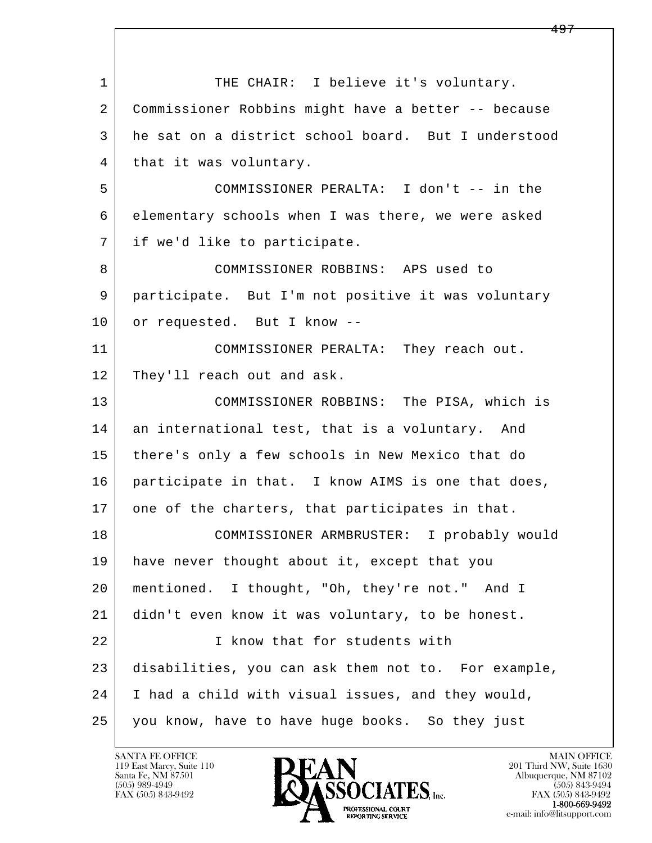l  $\overline{\phantom{a}}$ 1 THE CHAIR: I believe it's voluntary. 2 Commissioner Robbins might have a better -- because 3 he sat on a district school board. But I understood 4 | that it was voluntary. 5 COMMISSIONER PERALTA: I don't -- in the 6 elementary schools when I was there, we were asked 7 if we'd like to participate. 8 COMMISSIONER ROBBINS: APS used to 9 participate. But I'm not positive it was voluntary 10 or requested. But I know -- 11 COMMISSIONER PERALTA: They reach out. 12 They'll reach out and ask. 13 COMMISSIONER ROBBINS: The PISA, which is 14 an international test, that is a voluntary. And 15 there's only a few schools in New Mexico that do 16 participate in that. I know AIMS is one that does, 17 one of the charters, that participates in that. 18 COMMISSIONER ARMBRUSTER: I probably would 19 have never thought about it, except that you 20 mentioned. I thought, "Oh, they're not." And I 21 didn't even know it was voluntary, to be honest. 22 I know that for students with 23 disabilities, you can ask them not to. For example, 24 I had a child with visual issues, and they would, 25 you know, have to have huge books. So they just

119 East Marcy, Suite 110<br>Santa Fe, NM 87501

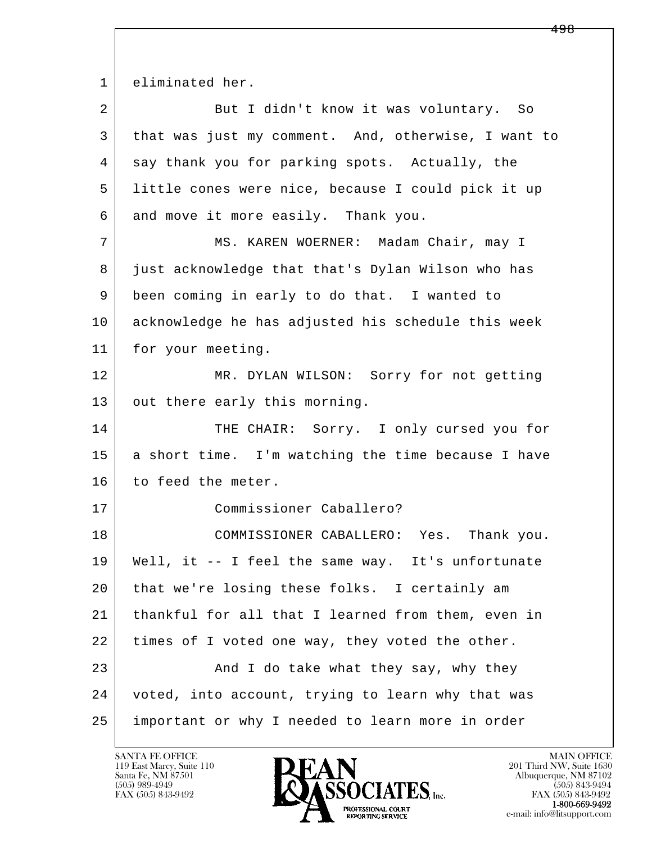1 eliminated her.

| $\overline{a}$ | But I didn't know it was voluntary. So              |
|----------------|-----------------------------------------------------|
| 3              | that was just my comment. And, otherwise, I want to |
| 4              | say thank you for parking spots. Actually, the      |
| 5              | little cones were nice, because I could pick it up  |
| 6              | and move it more easily. Thank you.                 |
| 7              | MS. KAREN WOERNER: Madam Chair, may I               |
| 8              | just acknowledge that that's Dylan Wilson who has   |
| 9              | been coming in early to do that. I wanted to        |
| 10             | acknowledge he has adjusted his schedule this week  |
| 11             | for your meeting.                                   |
| 12             | MR. DYLAN WILSON: Sorry for not getting             |
| 13             | out there early this morning.                       |
| 14             | THE CHAIR: Sorry. I only cursed you for             |
| 15             | a short time. I'm watching the time because I have  |
| 16             | to feed the meter.                                  |
| 17             | Commissioner Caballero?                             |
| 18             | COMMISSIONER CABALLERO: Yes. Thank you.             |
| 19             | Well, it -- I feel the same way. It's unfortunate   |
| 20             | that we're losing these folks. I certainly am       |
| 21             | thankful for all that I learned from them, even in  |
| 22             | times of I voted one way, they voted the other.     |
| 23             | And I do take what they say, why they               |
| 24             | voted, into account, trying to learn why that was   |
| 25             | important or why I needed to learn more in order    |

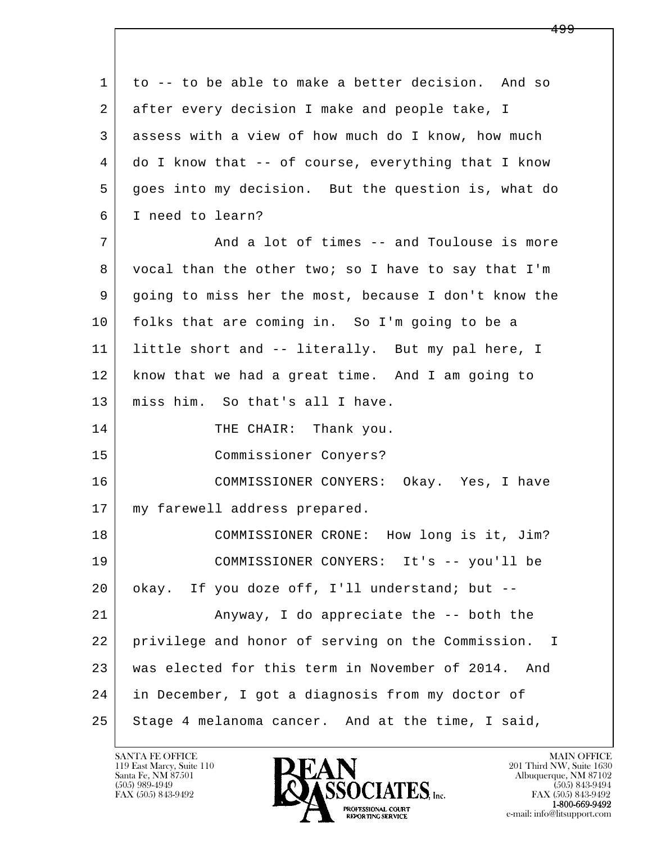l  $\overline{\phantom{a}}$ 1 to -- to be able to make a better decision. And so 2 after every decision I make and people take, I 3 assess with a view of how much do I know, how much 4 do I know that -- of course, everything that I know 5 goes into my decision. But the question is, what do 6 I need to learn? 7 and a lot of times -- and Toulouse is more 8 vocal than the other two; so I have to say that I'm 9 going to miss her the most, because I don't know the 10 folks that are coming in. So I'm going to be a 11 little short and -- literally. But my pal here, I 12 know that we had a great time. And I am going to 13 miss him. So that's all I have. 14 THE CHAIR: Thank you. 15 Commissioner Conyers? 16 COMMISSIONER CONYERS: Okay. Yes, I have 17 | my farewell address prepared. 18 | COMMISSIONER CRONE: How long is it, Jim? 19 COMMISSIONER CONYERS: It's -- you'll be 20 | okay. If you doze off, I'll understand; but -- 21 Anyway, I do appreciate the -- both the 22 privilege and honor of serving on the Commission. I 23 was elected for this term in November of 2014. And 24 in December, I got a diagnosis from my doctor of  $25$  Stage 4 melanoma cancer. And at the time, I said,

119 East Marcy, Suite 110<br>Santa Fe, NM 87501

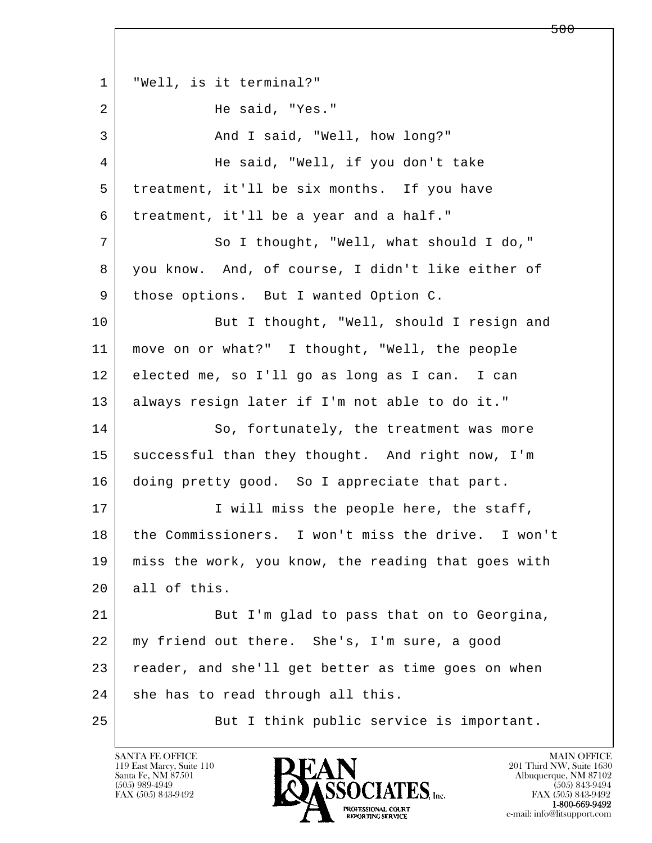l  $\overline{\phantom{a}}$  1 "Well, is it terminal?" 2 He said, "Yes." 3 And I said, "Well, how long?" 4 | He said, "Well, if you don't take 5 treatment, it'll be six months. If you have 6 treatment, it'll be a year and a half." 7 So I thought, "Well, what should I do," 8 you know. And, of course, I didn't like either of 9 | those options. But I wanted Option C. 10 But I thought, "Well, should I resign and 11 move on or what?" I thought, "Well, the people 12 elected me, so I'll go as long as I can. I can 13 always resign later if I'm not able to do it." 14 So, fortunately, the treatment was more 15 successful than they thought. And right now, I'm 16 doing pretty good. So I appreciate that part. 17 | I will miss the people here, the staff, 18 the Commissioners. I won't miss the drive. I won't 19 miss the work, you know, the reading that goes with 20 all of this. 21 But I'm glad to pass that on to Georgina, 22 | my friend out there. She's, I'm sure, a good 23 reader, and she'll get better as time goes on when 24 she has to read through all this. 25 But I think public service is important.

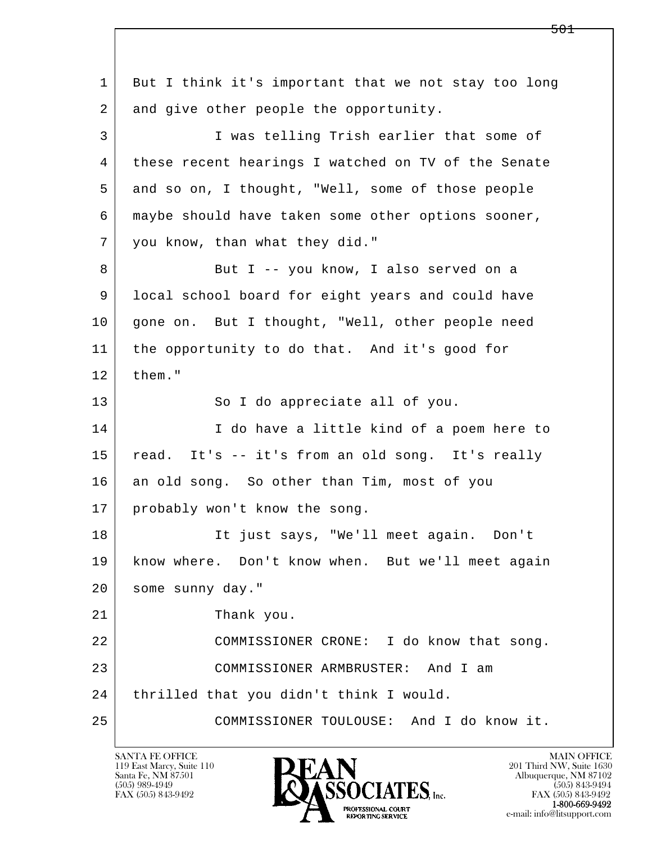l  $\overline{\phantom{a}}$  1 But I think it's important that we not stay too long 2 and give other people the opportunity. 3 I was telling Trish earlier that some of 4 these recent hearings I watched on TV of the Senate 5 and so on, I thought, "Well, some of those people 6 maybe should have taken some other options sooner, 7 you know, than what they did." 8 But I -- you know, I also served on a 9 local school board for eight years and could have 10 | gone on. But I thought, "Well, other people need 11 the opportunity to do that. And it's good for  $12$  them." 13 So I do appreciate all of you. 14 I do have a little kind of a poem here to 15 read. It's -- it's from an old song. It's really 16 an old song. So other than Tim, most of you 17 probably won't know the song. 18 It just says, "We'll meet again. Don't 19 know where. Don't know when. But we'll meet again 20 some sunny day." 21 Thank you. 22 COMMISSIONER CRONE: I do know that song. 23 COMMISSIONER ARMBRUSTER: And I am 24 | thrilled that you didn't think I would. 25 COMMISSIONER TOULOUSE: And I do know it.

119 East Marcy, Suite 110<br>Santa Fe, NM 87501

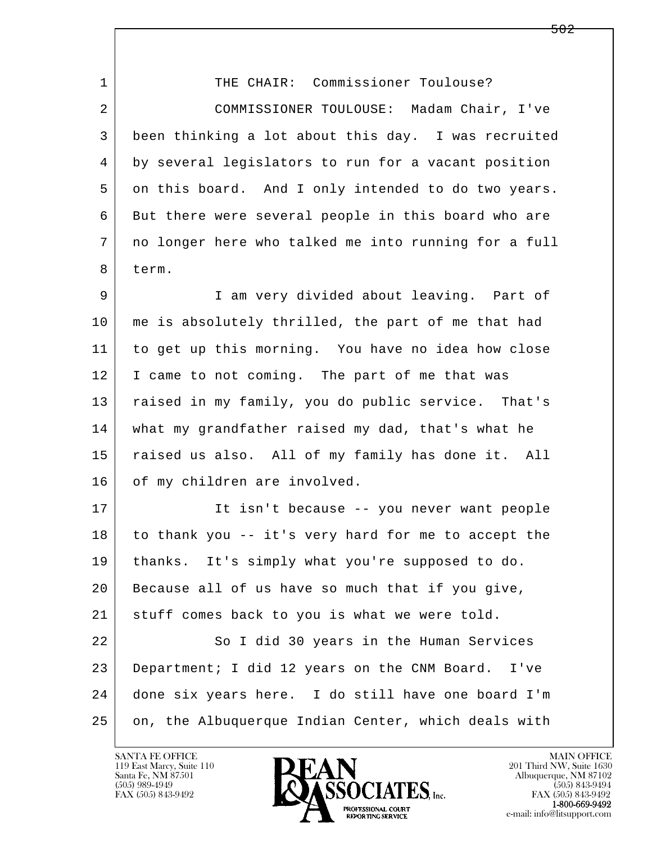l  $\overline{\phantom{a}}$ 1 THE CHAIR: Commissioner Toulouse? 2 COMMISSIONER TOULOUSE: Madam Chair, I've 3 been thinking a lot about this day. I was recruited 4 by several legislators to run for a vacant position 5 on this board. And I only intended to do two years. 6 But there were several people in this board who are 7 no longer here who talked me into running for a full 8 term. 9 I am very divided about leaving. Part of 10 me is absolutely thrilled, the part of me that had 11 to get up this morning. You have no idea how close 12 I came to not coming. The part of me that was 13 raised in my family, you do public service. That's 14 what my grandfather raised my dad, that's what he 15 raised us also. All of my family has done it. All 16 of my children are involved. 17 It isn't because -- you never want people 18 to thank you -- it's very hard for me to accept the 19 thanks. It's simply what you're supposed to do. 20 Because all of us have so much that if you give, 21 stuff comes back to you is what we were told. 22 So I did 30 years in the Human Services 23 Department; I did 12 years on the CNM Board. I've 24 done six years here. I do still have one board I'm 25 on, the Albuquerque Indian Center, which deals with

119 East Marcy, Suite 110<br>Santa Fe, NM 87501



FAX (505) 843-9492<br>1-800-669-9492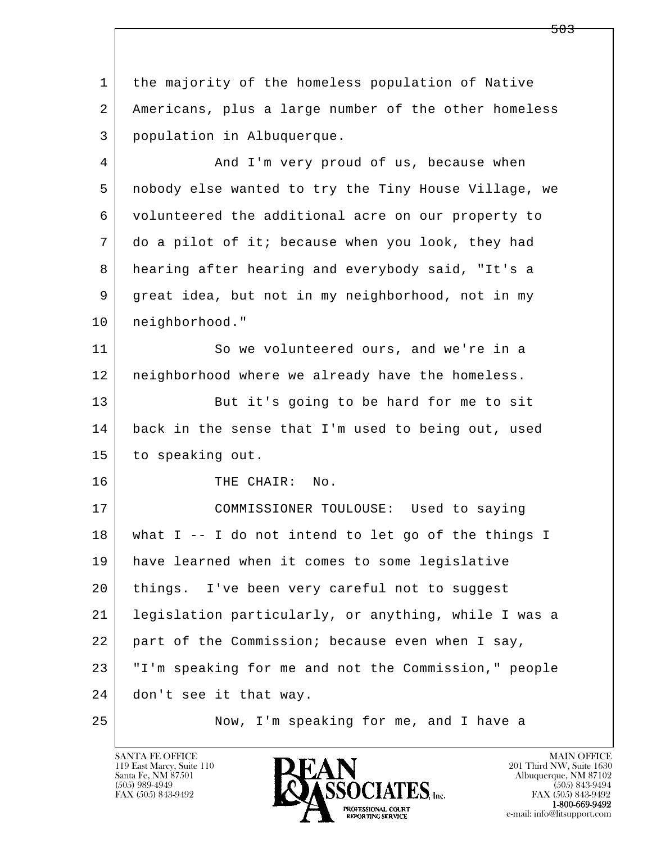| 1  | the majority of the homeless population of Native     |
|----|-------------------------------------------------------|
| 2  | Americans, plus a large number of the other homeless  |
| 3  | population in Albuquerque.                            |
| 4  | And I'm very proud of us, because when                |
| 5  | nobody else wanted to try the Tiny House Village, we  |
| 6  | volunteered the additional acre on our property to    |
| 7  | do a pilot of it; because when you look, they had     |
| 8  | hearing after hearing and everybody said, "It's a     |
| 9  | great idea, but not in my neighborhood, not in my     |
| 10 | neighborhood."                                        |
| 11 | So we volunteered ours, and we're in a                |
| 12 | neighborhood where we already have the homeless.      |
| 13 | But it's going to be hard for me to sit               |
| 14 | back in the sense that I'm used to being out, used    |
| 15 | to speaking out.                                      |
| 16 | THE CHAIR: No.                                        |
| 17 | COMMISSIONER TOULOUSE: Used to saying                 |
| 18 | what $I$ -- I do not intend to let go of the things I |
| 19 | have learned when it comes to some legislative        |
| 20 | things. I've been very careful not to suggest         |
| 21 | legislation particularly, or anything, while I was a  |
| 22 | part of the Commission; because even when I say,      |
| 23 | "I'm speaking for me and not the Commission," people  |
| 24 | don't see it that way.                                |
| 25 | Now, I'm speaking for me, and I have a                |

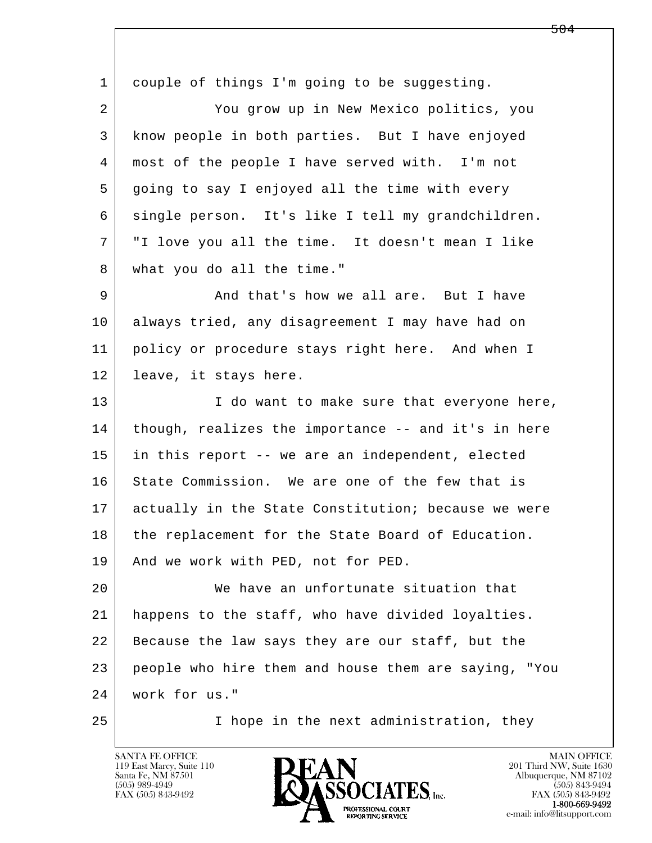l  $\overline{\phantom{a}}$ 1 couple of things I'm going to be suggesting. 2 You grow up in New Mexico politics, you 3 know people in both parties. But I have enjoyed 4 most of the people I have served with. I'm not 5 going to say I enjoyed all the time with every 6 single person. It's like I tell my grandchildren. 7 "I love you all the time. It doesn't mean I like 8 what you do all the time." 9 And that's how we all are. But I have 10 always tried, any disagreement I may have had on 11 policy or procedure stays right here. And when I 12 leave, it stays here. 13 I do want to make sure that everyone here, 14 though, realizes the importance -- and it's in here 15 in this report -- we are an independent, elected 16 State Commission. We are one of the few that is 17 actually in the State Constitution; because we were 18 the replacement for the State Board of Education. 19 | And we work with PED, not for PED. 20 We have an unfortunate situation that 21 happens to the staff, who have divided loyalties. 22 Because the law says they are our staff, but the 23 people who hire them and house them are saying, "You 24 work for us." 25 I hope in the next administration, they

119 East Marcy, Suite 110<br>Santa Fe, NM 87501

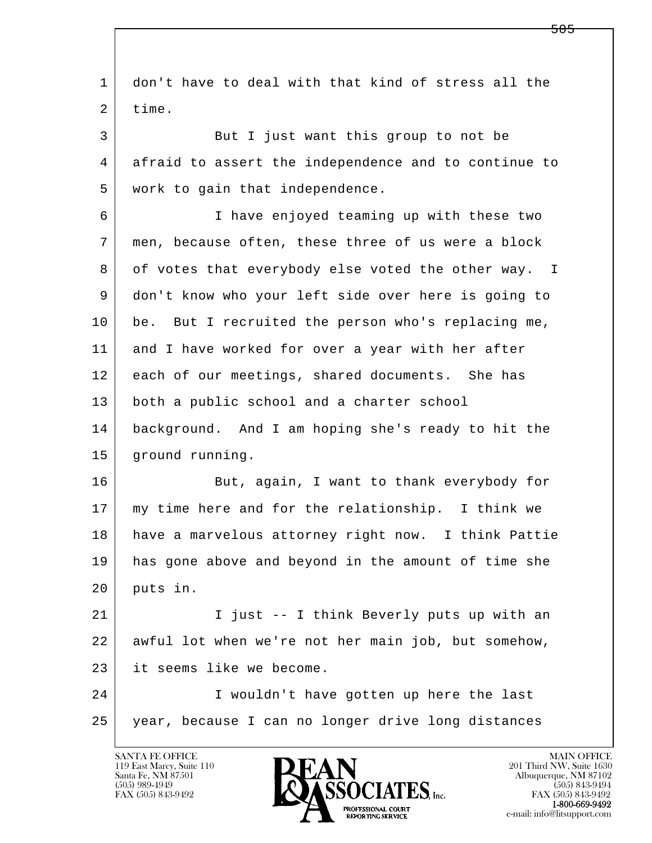l  $\overline{\phantom{a}}$  1 don't have to deal with that kind of stress all the 2 time. 3 But I just want this group to not be 4 afraid to assert the independence and to continue to 5 work to gain that independence. 6 I have enjoyed teaming up with these two 7 men, because often, these three of us were a block 8 of votes that everybody else voted the other way. I 9 don't know who your left side over here is going to 10 be. But I recruited the person who's replacing me, 11 and I have worked for over a year with her after 12 each of our meetings, shared documents. She has 13 both a public school and a charter school 14 background. And I am hoping she's ready to hit the 15 | ground running. 16 But, again, I want to thank everybody for 17 my time here and for the relationship. I think we 18 have a marvelous attorney right now. I think Pattie 19 has gone above and beyond in the amount of time she 20 puts in. 21 | I just -- I think Beverly puts up with an 22 awful lot when we're not her main job, but somehow, 23 it seems like we become. 24 I wouldn't have gotten up here the last 25 year, because I can no longer drive long distances

119 East Marcy, Suite 110<br>Santa Fe, NM 87501

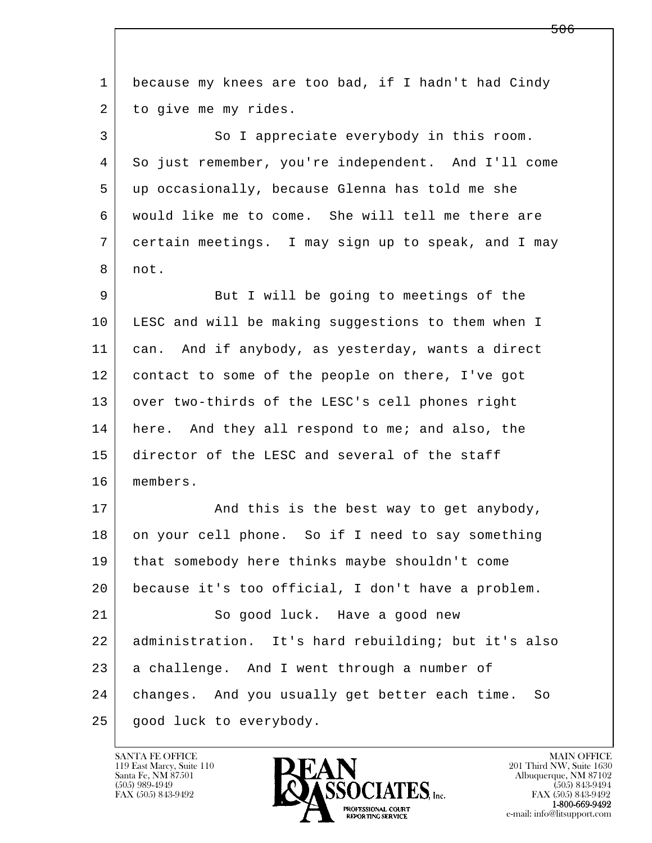l  $\overline{\phantom{a}}$  1 because my knees are too bad, if I hadn't had Cindy 2 to give me my rides. 3 So I appreciate everybody in this room. 4 So just remember, you're independent. And I'll come 5 up occasionally, because Glenna has told me she 6 would like me to come. She will tell me there are 7 certain meetings. I may sign up to speak, and I may 8 not. 9 But I will be going to meetings of the 10 LESC and will be making suggestions to them when I 11 can. And if anybody, as yesterday, wants a direct 12 contact to some of the people on there, I've got 13 over two-thirds of the LESC's cell phones right 14 here. And they all respond to me; and also, the 15 director of the LESC and several of the staff 16 members. 17 | And this is the best way to get anybody, 18 on your cell phone. So if I need to say something 19 that somebody here thinks maybe shouldn't come 20 because it's too official, I don't have a problem. 21 So good luck. Have a good new 22 administration. It's hard rebuilding; but it's also 23 a challenge. And I went through a number of 24 changes. And you usually get better each time. So 25 | good luck to everybody.

119 East Marcy, Suite 110<br>Santa Fe, NM 87501

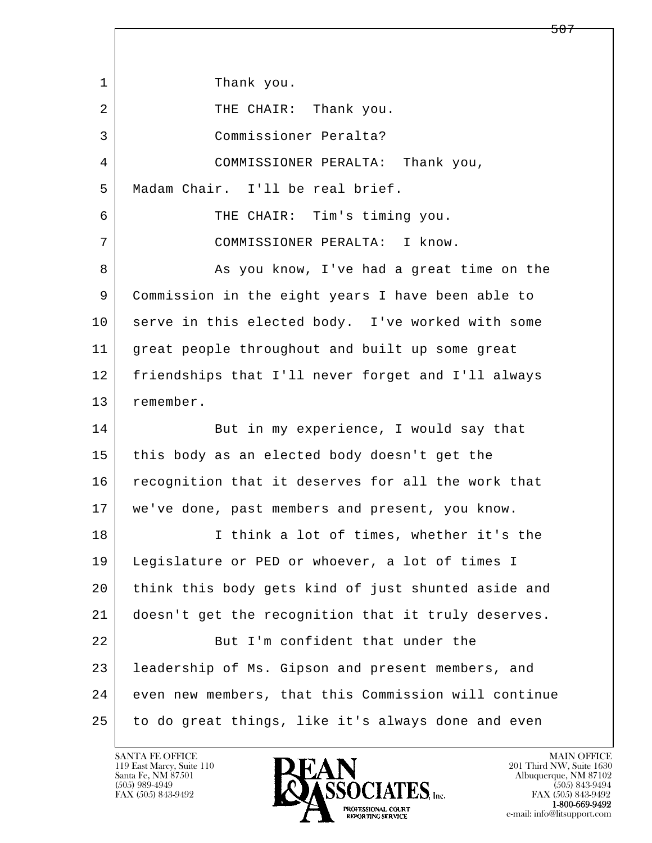l  $\overline{\phantom{a}}$ 1 Thank you. 2 | THE CHAIR: Thank you. 3 Commissioner Peralta? 4 COMMISSIONER PERALTA: Thank you, 5 Madam Chair. I'll be real brief. 6 THE CHAIR: Tim's timing you. 7 COMMISSIONER PERALTA: I know. 8 As you know, I've had a great time on the 9 Commission in the eight years I have been able to 10 serve in this elected body. I've worked with some 11 great people throughout and built up some great 12 friendships that I'll never forget and I'll always 13 remember. 14 But in my experience, I would say that 15 this body as an elected body doesn't get the 16 recognition that it deserves for all the work that 17 we've done, past members and present, you know. 18 I think a lot of times, whether it's the 19 Legislature or PED or whoever, a lot of times I 20 think this body gets kind of just shunted aside and 21 doesn't get the recognition that it truly deserves. 22 But I'm confident that under the 23 leadership of Ms. Gipson and present members, and 24 even new members, that this Commission will continue 25 to do great things, like it's always done and even

119 East Marcy, Suite 110<br>Santa Fe, NM 87501

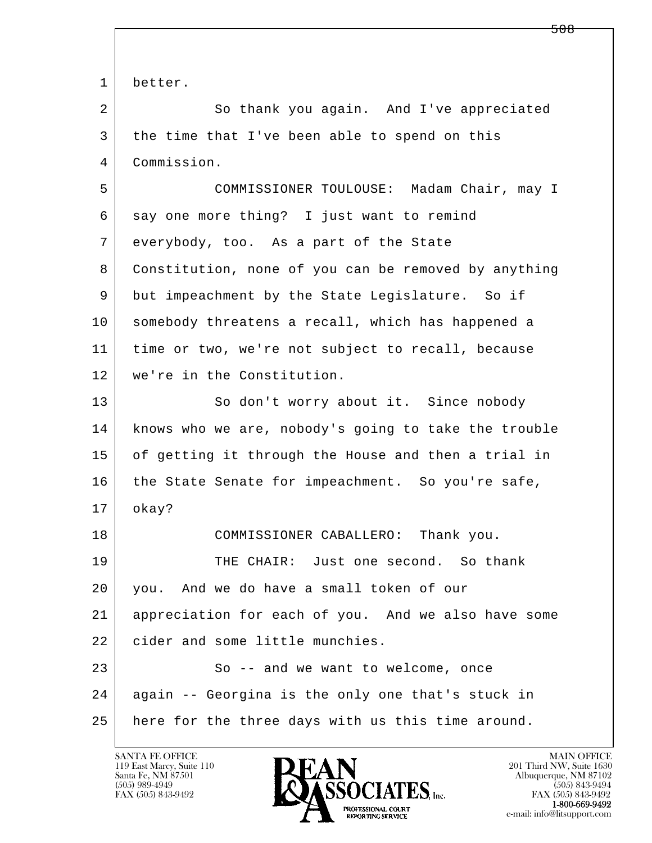l  $\overline{\phantom{a}}$  1 better. 2 So thank you again. And I've appreciated 3 the time that I've been able to spend on this 4 Commission. 5 COMMISSIONER TOULOUSE: Madam Chair, may I 6 say one more thing? I just want to remind 7 everybody, too. As a part of the State 8 Constitution, none of you can be removed by anything 9 but impeachment by the State Legislature. So if 10 somebody threatens a recall, which has happened a 11 time or two, we're not subject to recall, because 12 we're in the Constitution. 13 So don't worry about it. Since nobody 14 knows who we are, nobody's going to take the trouble 15 of getting it through the House and then a trial in 16 the State Senate for impeachment. So you're safe, 17 okay? 18 COMMISSIONER CABALLERO: Thank you. 19 THE CHAIR: Just one second. So thank 20 you. And we do have a small token of our 21 appreciation for each of you. And we also have some 22 | cider and some little munchies. 23 So -- and we want to welcome, once 24 again -- Georgina is the only one that's stuck in 25 here for the three days with us this time around.

119 East Marcy, Suite 110<br>Santa Fe, NM 87501

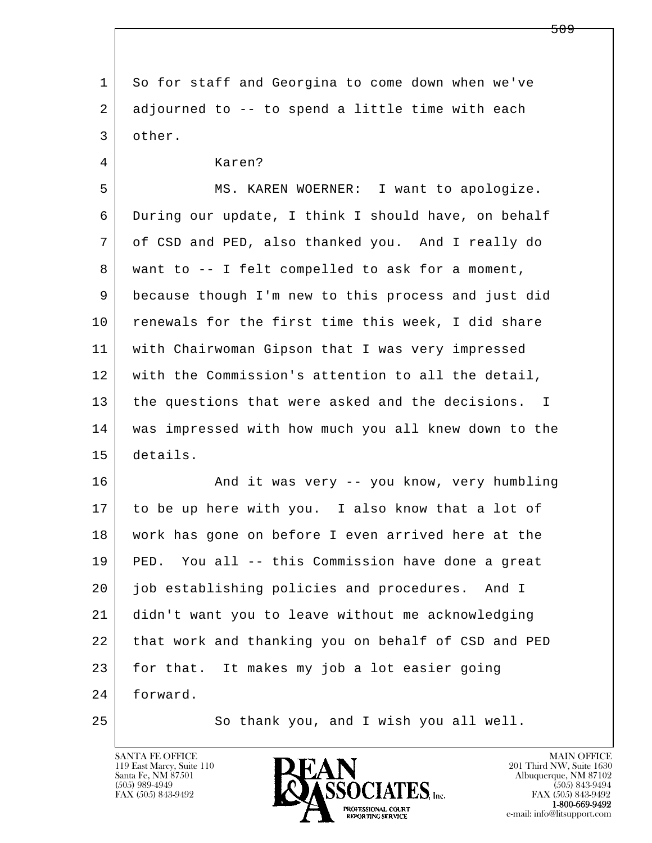l  $\overline{\phantom{a}}$  1 So for staff and Georgina to come down when we've 2 adjourned to -- to spend a little time with each 3 other. 4 Karen? 5 MS. KAREN WOERNER: I want to apologize. 6 During our update, I think I should have, on behalf 7 of CSD and PED, also thanked you. And I really do 8 want to -- I felt compelled to ask for a moment, 9 because though I'm new to this process and just did 10 renewals for the first time this week, I did share 11 with Chairwoman Gipson that I was very impressed 12 with the Commission's attention to all the detail, 13 the questions that were asked and the decisions. I 14 was impressed with how much you all knew down to the 15 details. 16 | And it was very -- you know, very humbling 17 to be up here with you. I also know that a lot of 18 work has gone on before I even arrived here at the 19 PED. You all -- this Commission have done a great 20 job establishing policies and procedures. And I 21 didn't want you to leave without me acknowledging 22 that work and thanking you on behalf of CSD and PED 23 for that. It makes my job a lot easier going 24 forward. 25 So thank you, and I wish you all well.

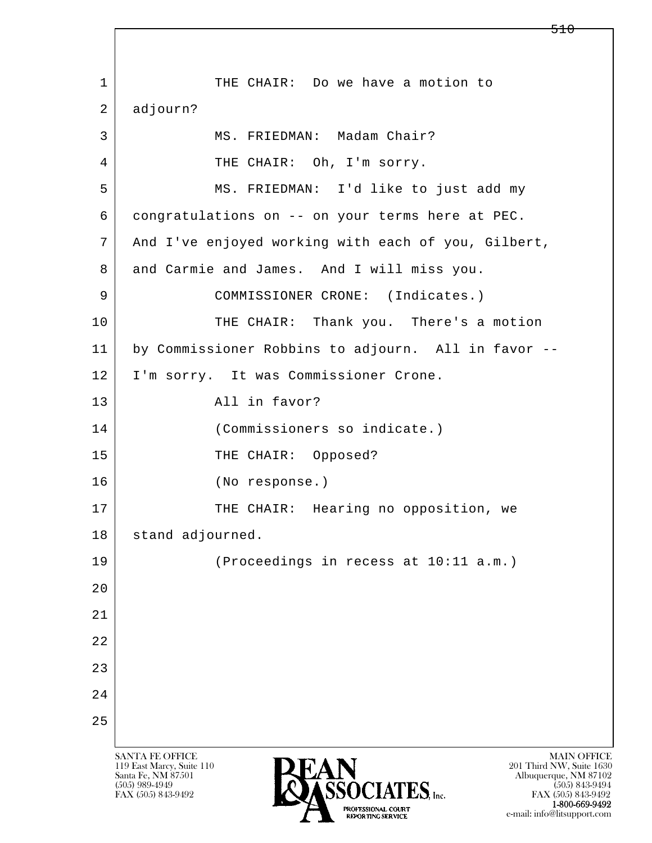l  $\overline{\phantom{a}}$ SANTA FE OFFICE MAIN OFFICE MAIN OFFICE MAIN OFFICE MAIN OFFICE 1 THE CHAIR: Do we have a motion to 2 adjourn? 3 | MS. FRIEDMAN: Madam Chair? 4 THE CHAIR: Oh, I'm sorry. 5 MS. FRIEDMAN: I'd like to just add my 6 congratulations on -- on your terms here at PEC. 7 | And I've enjoyed working with each of you, Gilbert, 8 and Carmie and James. And I will miss you. 9 COMMISSIONER CRONE: (Indicates.) 10 THE CHAIR: Thank you. There's a motion 11 by Commissioner Robbins to adjourn. All in favor -- 12 I'm sorry. It was Commissioner Crone. 13 all in favor? 14 (Commissioners so indicate.) 15 THE CHAIR: Opposed? 16 (No response.) 17 | THE CHAIR: Hearing no opposition, we 18 | stand adjourned. 19 (Proceedings in recess at 10:11 a.m.)  $2.0$  21 22 23 24 25

119 East Marcy, Suite 110<br>Santa Fe, NM 87501